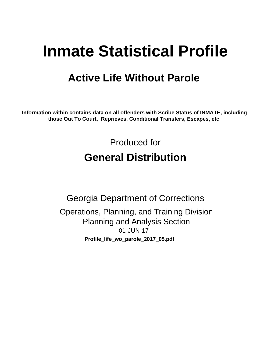# **Inmate Statistical Profile**

# **Active Life Without Parole**

Information within contains data on all offenders with Scribe Status of INMATE, including those Out To Court, Reprieves, Conditional Transfers, Escapes, etc

> Produced for **General Distribution**

**Georgia Department of Corrections** Operations, Planning, and Training Division **Planning and Analysis Section** 01-JUN-17 Profile\_life\_wo\_parole\_2017\_05.pdf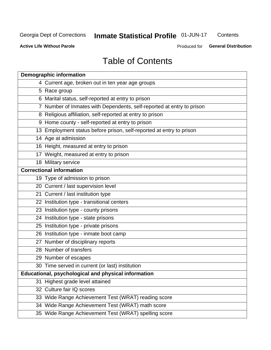# Inmate Statistical Profile 01-JUN-17

Contents

**Active Life Without Parole** 

Produced for General Distribution

# **Table of Contents**

|    | <b>Demographic information</b>                                        |
|----|-----------------------------------------------------------------------|
|    | 4 Current age, broken out in ten year age groups                      |
|    | 5 Race group                                                          |
|    | 6 Marital status, self-reported at entry to prison                    |
|    | 7 Number of Inmates with Dependents, self-reported at entry to prison |
|    | 8 Religious affiliation, self-reported at entry to prison             |
|    | 9 Home county - self-reported at entry to prison                      |
|    | 13 Employment status before prison, self-reported at entry to prison  |
|    | 14 Age at admission                                                   |
|    | 16 Height, measured at entry to prison                                |
|    | 17 Weight, measured at entry to prison                                |
|    | 18 Military service                                                   |
|    | <b>Correctional information</b>                                       |
|    | 19 Type of admission to prison                                        |
|    | 20 Current / last supervision level                                   |
|    | 21 Current / last institution type                                    |
|    | 22 Institution type - transitional centers                            |
|    | 23 Institution type - county prisons                                  |
|    | 24 Institution type - state prisons                                   |
|    | 25 Institution type - private prisons                                 |
|    | 26 Institution type - inmate boot camp                                |
|    | 27 Number of disciplinary reports                                     |
|    | 28 Number of transfers                                                |
|    | 29 Number of escapes                                                  |
|    | 30 Time served in current (or last) institution                       |
|    | Educational, psychological and physical information                   |
| 31 | Highest grade level attained                                          |
|    | 32 Culture fair IQ scores                                             |
|    | 33 Wide Range Achievement Test (WRAT) reading score                   |
|    | 34 Wide Range Achievement Test (WRAT) math score                      |
|    | 35 Wide Range Achievement Test (WRAT) spelling score                  |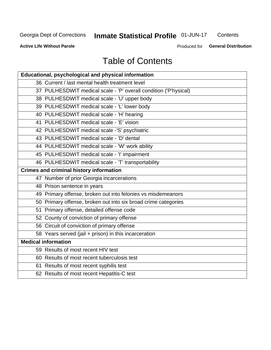# Inmate Statistical Profile 01-JUN-17

Contents

**Active Life Without Parole** 

Produced for General Distribution

# **Table of Contents**

| Educational, psychological and physical information              |
|------------------------------------------------------------------|
| 36 Current / last mental health treatment level                  |
| 37 PULHESDWIT medical scale - 'P' overall condition ('P'hysical) |
| 38 PULHESDWIT medical scale - 'U' upper body                     |
| 39 PULHESDWIT medical scale - 'L' lower body                     |
| 40 PULHESDWIT medical scale - 'H' hearing                        |
| 41 PULHESDWIT medical scale - 'E' vision                         |
| 42 PULHESDWIT medical scale -'S' psychiatric                     |
| 43 PULHESDWIT medical scale - 'D' dental                         |
| 44 PULHESDWIT medical scale - 'W' work ability                   |
| 45 PULHESDWIT medical scale - 'I' impairment                     |
| 46 PULHESDWIT medical scale - 'T' transportability               |
| <b>Crimes and criminal history information</b>                   |
| 47 Number of prior Georgia incarcerations                        |
| 48 Prison sentence in years                                      |
| 49 Primary offense, broken out into felonies vs misdemeanors     |
| 50 Primary offense, broken out into six broad crime categories   |
| 51 Primary offense, detailed offense code                        |
| 52 County of conviction of primary offense                       |
| 56 Circuit of conviction of primary offense                      |
| 58 Years served (jail + prison) in this incarceration            |
| <b>Medical information</b>                                       |
| 59 Results of most recent HIV test                               |
| 60 Results of most recent tuberculosis test                      |
| 61 Results of most recent syphilis test                          |
| 62 Results of most recent Hepatitis-C test                       |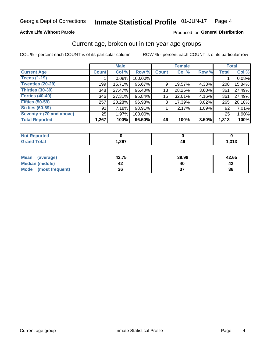### **Active Life Without Parole**

### Produced for General Distribution

# Current age, broken out in ten-year age groups

COL % - percent each COUNT is of its particular column

|                          |                 | <b>Male</b> |         |                 | <b>Female</b> |       |              | <b>Total</b> |  |
|--------------------------|-----------------|-------------|---------|-----------------|---------------|-------|--------------|--------------|--|
| <b>Current Age</b>       | <b>Count</b>    | Col %       | Row %   | <b>Count</b>    | Col %         | Row % | <b>Total</b> | Col %        |  |
| <b>Teens (1-19)</b>      |                 | 0.08%       | 100.00% |                 |               |       |              | 0.08%        |  |
| <b>Twenties (20-29)</b>  | 199             | 15.71%      | 95.67%  | 9               | 19.57%        | 4.33% | 208          | 15.84%       |  |
| Thirties (30-39)         | 348             | 27.47%      | 96.40%  | 13 <sub>1</sub> | 28.26%        | 3.60% | 361          | 27.49%       |  |
| <b>Forties (40-49)</b>   | 346             | 27.31%      | 95.84%  | 15              | 32.61%        | 4.16% | 361          | 27.49%       |  |
| <b>Fifties (50-59)</b>   | 257             | 20.28%      | 96.98%  | 8               | 17.39%        | 3.02% | 265          | 20.18%       |  |
| <b>Sixties (60-69)</b>   | 91              | 7.18%       | 98.91%  |                 | 2.17%         | 1.09% | 92           | 7.01%        |  |
| Seventy + (70 and above) | 25 <sub>1</sub> | 1.97%       | 100.00% |                 |               |       | 25           | 1.90%        |  |
| <b>Total Reported</b>    | 1,267           | 100%        | 96.50%  | 46              | 100%          | 3.50% | 1,313        | 100%         |  |

| <b>Continued and</b> |      |                |
|----------------------|------|----------------|
| $C = 4$              | 267, | .242<br>د ∟ د, |

| <b>Mean</b><br>(average) | 42.75 | 39.98 | 42.65 |
|--------------------------|-------|-------|-------|
| Median (middle)          |       |       |       |
| Mode<br>(most frequent)  | 36    |       | 36    |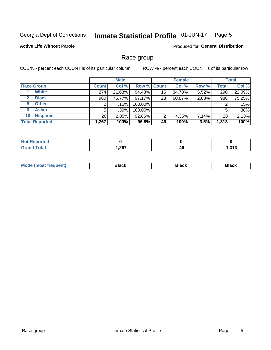#### Inmate Statistical Profile 01-JUN-17 Page 5

# **Active Life Without Parole**

Produced for General Distribution

# Race group

COL % - percent each COUNT is of its particular column

|                              |              | <b>Male</b> |                    | <b>Female</b> |        |       | <b>Total</b> |        |
|------------------------------|--------------|-------------|--------------------|---------------|--------|-------|--------------|--------|
| <b>Race Group</b>            | <b>Count</b> | Col %       | <b>Row % Count</b> |               | Col %  | Row % | <b>Total</b> | Col %  |
| <b>White</b>                 | 274          | 21.63%      | 94.48%             | 16            | 34.78% | 5.52% | 290          | 22.09% |
| <b>Black</b><br>$\mathbf{2}$ | 960          | 75.77%      | $97.17\%$          | 28            | 60.87% | 2.83% | 988          | 75.25% |
| <b>Other</b><br>5.           |              | .16%        | 100.00%            |               |        |       | 2            | .15%   |
| <b>Asian</b><br>6            | 5            | .39%        | 100.00%            |               |        |       | 5            | .38%   |
| <b>Hispanic</b><br>10        | 26           | 2.05%       | 92.86%             | 2             | 4.35%  | 7.14% | 28           | 2.13%  |
| <b>Total Reported</b>        | 1,267        | 100%        | 96.5%              | 46            | 100%   | 3.5%  | 1,313        | 100%   |

| <b>rted</b>       |              |    |             |
|-------------------|--------------|----|-------------|
| $F \cap f \cap F$ | 267<br>$-01$ | 4t | - 242<br>⊶י |

| M | - - - |  |
|---|-------|--|
|   |       |  |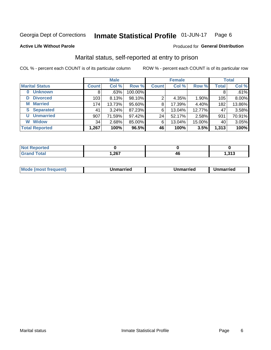#### **Inmate Statistical Profile 01-JUN-17** Page 6

### **Active Life Without Parole**

### Produced for General Distribution

# Marital status, self-reported at entry to prison

COL % - percent each COUNT is of its particular column

|                        | <b>Male</b>  |         |         | <b>Female</b> |        |        | <b>Total</b> |        |
|------------------------|--------------|---------|---------|---------------|--------|--------|--------------|--------|
| <b>Marital Status</b>  | <b>Count</b> | Col %   | Row %   | <b>Count</b>  | Col %  | Row %  | <b>Total</b> | Col %  |
| <b>Unknown</b><br>0    | 8            | $.63\%$ | 100.00% |               |        |        | 8            | .61%   |
| <b>Divorced</b><br>D   | 103          | 8.13%   | 98.10%  | 2             | 4.35%  | 1.90%  | 105          | 8.00%  |
| <b>Married</b><br>М    | 174          | 13.73%  | 95.60%  | 8             | 17.39% | 4.40%  | 182          | 13.86% |
| <b>Separated</b><br>S. | 41           | 3.24%   | 87.23%  | 6             | 13.04% | 12.77% | 47           | 3.58%  |
| <b>Unmarried</b><br>U  | 907          | 71.59%  | 97.42%  | 24            | 52.17% | 2.58%  | 931          | 70.91% |
| <b>Widow</b><br>W      | 34           | 2.68%   | 85.00%  | 6             | 13.04% | 15.00% | 40           | 3.05%  |
| <b>Total Reported</b>  | 1,267        | 100%    | 96.5%   | 46            | 100%   | 3.5%   | 1,313        | 100%   |

| 'Not Reported<br>. <b>.</b> |      |    |          |
|-----------------------------|------|----|----------|
| Total                       | ,267 | 46 | 242<br>. |

|--|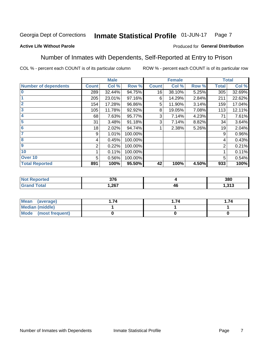#### Inmate Statistical Profile 01-JUN-17 Page 7

# **Active Life Without Parole**

### Produced for General Distribution

# Number of Inmates with Dependents, Self-Reported at Entry to Prison

COL % - percent each COUNT is of its particular column

|                             |              | <b>Male</b> |         |              | <b>Female</b> |       |              | <b>Total</b> |
|-----------------------------|--------------|-------------|---------|--------------|---------------|-------|--------------|--------------|
| <b>Number of dependents</b> | <b>Count</b> | Col %       | Row %   | <b>Count</b> | Col %         | Row % | <b>Total</b> | Col %        |
| $\bf{0}$                    | 289          | 32.44%      | 94.75%  | 16           | 38.10%        | 5.25% | 305          | 32.69%       |
|                             | 205          | 23.01%      | 97.16%  | 6            | 14.29%        | 2.84% | 211          | 22.62%       |
| $\overline{2}$              | 154          | 17.28%      | 96.86%  | 5            | 11.90%        | 3.14% | 159          | 17.04%       |
| 3                           | 105          | 11.78%      | 92.92%  | 8            | 19.05%        | 7.08% | 113          | 12.11%       |
| 4                           | 68           | 7.63%       | 95.77%  | 3            | 7.14%         | 4.23% | 71           | 7.61%        |
| 5                           | 31           | 3.48%       | 91.18%  | 3            | 7.14%         | 8.82% | 34           | 3.64%        |
| $6\phantom{1}6$             | 18           | 2.02%       | 94.74%  |              | 2.38%         | 5.26% | 19           | 2.04%        |
| 7                           | 9            | 1.01%       | 100.00% |              |               |       | 9            | 0.96%        |
| $\overline{\mathbf{8}}$     | 4            | 0.45%       | 100.00% |              |               |       | 4            | 0.43%        |
| $\boldsymbol{9}$            | 2            | 0.22%       | 100.00% |              |               |       | 2            | 0.21%        |
| 10                          |              | 0.11%       | 100.00% |              |               |       |              | 0.11%        |
| Over 10                     | 5            | 0.56%       | 100.00% |              |               |       | 5            | 0.54%        |
| <b>Total Reported</b>       | 891          | 100%        | 95.50%  | 42           | 100%          | 4.50% | 933          | 100%         |

| lcu | $\sim$<br>uıu |    | 380            |
|-----|---------------|----|----------------|
|     | .267          | 4t | 242<br>1.J I J |

| Mean (average)          | 74 | . 74 | . 74 |
|-------------------------|----|------|------|
| Median (middle)         |    |      |      |
| Mode<br>(most frequent) |    |      |      |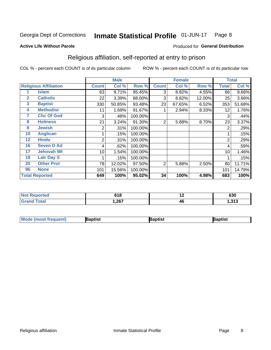#### Inmate Statistical Profile 01-JUN-17 Page 8

**Active Life Without Parole** 

### Produced for General Distribution

# Religious affiliation, self-reported at entry to prison

COL % - percent each COUNT is of its particular column

|              |                              | <b>Male</b>  |        |         | <b>Female</b> |        |        | <b>Total</b>   |        |
|--------------|------------------------------|--------------|--------|---------|---------------|--------|--------|----------------|--------|
|              | <b>Religious Affiliation</b> | <b>Count</b> | Col %  | Row %   | <b>Count</b>  | Col %  | Row %  | <b>Total</b>   | Col %  |
|              | Islam                        | 63           | 9.71%  | 95.45%  | 3             | 8.82%  | 4.55%  | 66             | 9.66%  |
| $\mathbf{2}$ | <b>Catholic</b>              | 22           | 3.39%  | 88.00%  | 3             | 8.82%  | 12.00% | 25             | 3.66%  |
| 3            | <b>Baptist</b>               | 330          | 50.85% | 93.48%  | 23            | 67.65% | 6.52%  | 353            | 51.68% |
| 4            | <b>Methodist</b>             | 11           | 1.69%  | 91.67%  |               | 2.94%  | 8.33%  | 12             | 1.76%  |
| 7            | <b>Chc Of God</b>            | 3            | .46%   | 100.00% |               |        |        | 3              | .44%   |
| 8            | <b>Holiness</b>              | 21           | 3.24%  | 91.30%  | 2             | 5.88%  | 8.70%  | 23             | 3.37%  |
| 9            | <b>Jewish</b>                | 2            | .31%   | 100.00% |               |        |        | 2              | .29%   |
| 10           | <b>Anglican</b>              |              | .15%   | 100.00% |               |        |        |                | .15%   |
| 12           | <b>Hindu</b>                 | 2            | .31%   | 100.00% |               |        |        | $\overline{2}$ | .29%   |
| 16           | <b>Seven D Ad</b>            | 4            | .62%   | 100.00% |               |        |        | 4              | .59%   |
| 17           | <b>Jehovah Wt</b>            | 10           | 1.54%  | 100.00% |               |        |        | 10             | 1.46%  |
| 18           | <b>Latr Day S</b>            |              | .15%   | 100.00% |               |        |        |                | .15%   |
| 20           | <b>Other Prot</b>            | 78           | 12.02% | 97.50%  | 2             | 5.88%  | 2.50%  | 80             | 11.71% |
| 96           | <b>None</b>                  | 101          | 15.56% | 100.00% |               |        |        | 101            | 14.79% |
|              | <b>Total Reported</b>        | 649          | 100%   | 95.02%  | 34            | 100%   | 4.98%  | 683            | 100%   |

| <b>NOT Reported</b> | 618   | . .<br>. . | 630                          |
|---------------------|-------|------------|------------------------------|
| <b>Total</b>        | 1,267 | 46         | .24 <sub>0</sub><br>د ۱ د. ا |

| Mod<br>de (most frequent). | 3aptist | aptist | Baptist |
|----------------------------|---------|--------|---------|
|                            |         |        |         |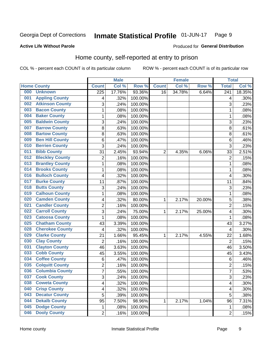#### **Inmate Statistical Profile 01-JUN-17** Page 9

### **Active Life Without Parole**

# Produced for General Distribution

# Home county, self-reported at entry to prison

COL % - percent each COUNT is of its particular column

|     |                        |                         | <b>Male</b> |         |                | <b>Female</b> |        | <b>Total</b>            |        |
|-----|------------------------|-------------------------|-------------|---------|----------------|---------------|--------|-------------------------|--------|
|     | <b>Home County</b>     | <b>Count</b>            | Col %       | Row %   | <b>Count</b>   | Col %         | Row %  | <b>Total</b>            | Col %  |
| 000 | <b>Unknown</b>         | $\overline{225}$        | 17.76%      | 93.36%  | 16             | 34.78%        | 6.64%  | $\overline{241}$        | 18.35% |
| 001 | <b>Appling County</b>  | 4                       | .32%        | 100.00% |                |               |        | 4                       | .30%   |
| 002 | <b>Atkinson County</b> | 3                       | .24%        | 100.00% |                |               |        | 3                       | .23%   |
| 003 | <b>Bacon County</b>    | $\mathbf 1$             | .08%        | 100.00% |                |               |        | 1                       | .08%   |
| 004 | <b>Baker County</b>    | $\mathbf 1$             | .08%        | 100.00% |                |               |        | 1                       | .08%   |
| 005 | <b>Baldwin County</b>  | 3                       | .24%        | 100.00% |                |               |        | 3                       | .23%   |
| 007 | <b>Barrow County</b>   | 8                       | .63%        | 100.00% |                |               |        | 8                       | .61%   |
| 008 | <b>Bartow County</b>   | 8                       | .63%        | 100.00% |                |               |        | 8                       | .61%   |
| 009 | <b>Ben Hill County</b> | 6                       | .47%        | 100.00% |                |               |        | 6                       | .46%   |
| 010 | <b>Berrien County</b>  | 3                       | .24%        | 100.00% |                |               |        | 3                       | .23%   |
| 011 | <b>Bibb County</b>     | 31                      | 2.45%       | 93.94%  | $\overline{2}$ | 4.35%         | 6.06%  | 33                      | 2.51%  |
| 012 | <b>Bleckley County</b> | $\overline{c}$          | .16%        | 100.00% |                |               |        | $\overline{2}$          | .15%   |
| 013 | <b>Brantley County</b> | $\mathbf 1$             | .08%        | 100.00% |                |               |        | 1                       | .08%   |
| 014 | <b>Brooks County</b>   | $\mathbf 1$             | .08%        | 100.00% |                |               |        | 1                       | .08%   |
| 016 | <b>Bulloch County</b>  | 4                       | .32%        | 100.00% |                |               |        | $\overline{4}$          | .30%   |
| 017 | <b>Burke County</b>    | 11                      | .87%        | 100.00% |                |               |        | 11                      | .84%   |
| 018 | <b>Butts County</b>    | 3                       | .24%        | 100.00% |                |               |        | 3                       | .23%   |
| 019 | <b>Calhoun County</b>  | $\mathbf 1$             | .08%        | 100.00% |                |               |        | 1                       | .08%   |
| 020 | <b>Camden County</b>   | 4                       | .32%        | 80.00%  | 1              | 2.17%         | 20.00% | 5                       | .38%   |
| 021 | <b>Candler County</b>  | $\overline{c}$          | .16%        | 100.00% |                |               |        | $\overline{2}$          | .15%   |
| 022 | <b>Carroll County</b>  | 3                       | .24%        | 75.00%  | 1              | 2.17%         | 25.00% | $\overline{\mathbf{4}}$ | .30%   |
| 023 | <b>Catoosa County</b>  | 1                       | .08%        | 100.00% |                |               |        | 1                       | .08%   |
| 025 | <b>Chatham County</b>  | 43                      | 3.39%       | 100.00% |                |               |        | 43                      | 3.27%  |
| 028 | <b>Cherokee County</b> | 4                       | .32%        | 100.00% |                |               |        | 4                       | .30%   |
| 029 | <b>Clarke County</b>   | 21                      | 1.66%       | 95.45%  | 1              | 2.17%         | 4.55%  | 22                      | 1.68%  |
| 030 | <b>Clay County</b>     | $\overline{2}$          | .16%        | 100.00% |                |               |        | $\overline{2}$          | .15%   |
| 031 | <b>Clayton County</b>  | 46                      | 3.63%       | 100.00% |                |               |        | 46                      | 3.50%  |
| 033 | <b>Cobb County</b>     | 45                      | 3.55%       | 100.00% |                |               |        | 45                      | 3.43%  |
| 034 | <b>Coffee County</b>   | 6                       | .47%        | 100.00% |                |               |        | 6                       | .46%   |
| 035 | <b>Colquitt County</b> | $\overline{c}$          | .16%        | 100.00% |                |               |        | $\overline{2}$          | .15%   |
| 036 | <b>Columbia County</b> | $\overline{7}$          | .55%        | 100.00% |                |               |        | 7                       | .53%   |
| 037 | <b>Cook County</b>     | 3                       | .24%        | 100.00% |                |               |        | 3                       | .23%   |
| 038 | <b>Coweta County</b>   | 4                       | .32%        | 100.00% |                |               |        | 4                       | .30%   |
| 040 | <b>Crisp County</b>    | $\overline{\mathbf{4}}$ | .32%        | 100.00% |                |               |        | 4                       | .30%   |
| 043 | <b>Decatur County</b>  | 5                       | .39%        | 100.00% |                |               |        | 5                       | .38%   |
| 044 | <b>Dekalb County</b>   | 95                      | 7.50%       | 98.96%  | 1              | 2.17%         | 1.04%  | 96                      | 7.31%  |
| 045 | <b>Dodge County</b>    | 1                       | .08%        | 100.00% |                |               |        | 1                       | .08%   |
| 046 | <b>Dooly County</b>    | $\overline{2}$          | .16%        | 100.00% |                |               |        | $\overline{2}$          | .15%   |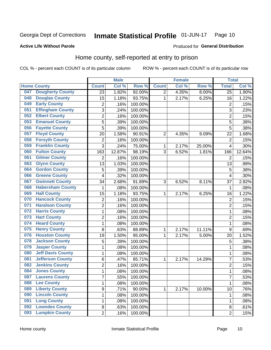#### Inmate Statistical Profile 01-JUN-17 Page 10

### **Active Life Without Parole**

# Produced for General Distribution

# Home county, self-reported at entry to prison

COL % - percent each COUNT is of its particular column

|     |                          |                         | <b>Male</b> |         |                | <b>Female</b> |        | <b>Total</b>    |        |
|-----|--------------------------|-------------------------|-------------|---------|----------------|---------------|--------|-----------------|--------|
|     | <b>Home County</b>       | <b>Count</b>            | Col %       | Row %   | <b>Count</b>   | Col %         | Row %  | <b>Total</b>    | Col %  |
| 047 | <b>Dougherty County</b>  | 23                      | 1.82%       | 92.00%  | $\overline{2}$ | 4.35%         | 8.00%  | $\overline{25}$ | 1.90%  |
| 048 | <b>Douglas County</b>    | 15                      | 1.18%       | 93.75%  | 1              | 2.17%         | 6.25%  | 16              | 1.22%  |
| 049 | <b>Early County</b>      | 2                       | .16%        | 100.00% |                |               |        | $\overline{2}$  | .15%   |
| 051 | <b>Effingham County</b>  | 3                       | .24%        | 100.00% |                |               |        | 3               | .23%   |
| 052 | <b>Elbert County</b>     | $\overline{c}$          | .16%        | 100.00% |                |               |        | $\overline{2}$  | .15%   |
| 053 | <b>Emanuel County</b>    | $\overline{5}$          | .39%        | 100.00% |                |               |        | 5               | .38%   |
| 056 | <b>Fayette County</b>    | 5                       | .39%        | 100.00% |                |               |        | 5               | .38%   |
| 057 | <b>Floyd County</b>      | 20                      | 1.58%       | 90.91%  | $\overline{2}$ | 4.35%         | 9.09%  | 22              | 1.68%  |
| 058 | <b>Forsyth County</b>    | $\overline{c}$          | .16%        | 100.00% |                |               |        | $\overline{2}$  | .15%   |
| 059 | <b>Franklin County</b>   | 3                       | .24%        | 75.00%  | 1              | 2.17%         | 25.00% | $\overline{4}$  | .30%   |
| 060 | <b>Fulton County</b>     | 163                     | 12.87%      | 98.19%  | 3              | 6.52%         | 1.81%  | 166             | 12.64% |
| 061 | <b>Gilmer County</b>     | $\overline{2}$          | .16%        | 100.00% |                |               |        | $\overline{2}$  | .15%   |
| 063 | <b>Glynn County</b>      | 13                      | 1.03%       | 100.00% |                |               |        | 13              | .99%   |
| 064 | <b>Gordon County</b>     | 5                       | .39%        | 100.00% |                |               |        | 5               | .38%   |
| 066 | <b>Greene County</b>     | 4                       | .32%        | 100.00% |                |               |        | $\overline{4}$  | .30%   |
| 067 | <b>Gwinnett County</b>   | 34                      | 2.68%       | 91.89%  | 3              | 6.52%         | 8.11%  | 37              | 2.82%  |
| 068 | <b>Habersham County</b>  | 1                       | .08%        | 100.00% |                |               |        | 1               | .08%   |
| 069 | <b>Hall County</b>       | 15                      | 1.18%       | 93.75%  | 1              | 2.17%         | 6.25%  | 16              | 1.22%  |
| 070 | <b>Hancock County</b>    | $\overline{\mathbf{c}}$ | .16%        | 100.00% |                |               |        | $\overline{2}$  | .15%   |
| 071 | <b>Haralson County</b>   | $\overline{2}$          | .16%        | 100.00% |                |               |        | $\overline{2}$  | .15%   |
| 072 | <b>Harris County</b>     | $\mathbf{1}$            | .08%        | 100.00% |                |               |        | 1               | .08%   |
| 073 | <b>Hart County</b>       | $\overline{2}$          | .16%        | 100.00% |                |               |        | $\overline{2}$  | .15%   |
| 074 | <b>Heard County</b>      | $\mathbf{1}$            | .08%        | 100.00% |                |               |        | 1               | .08%   |
| 075 | <b>Henry County</b>      | 8                       | .63%        | 88.89%  | 1              | 2.17%         | 11.11% | 9               | .69%   |
| 076 | <b>Houston County</b>    | 19                      | 1.50%       | 95.00%  | 1              | 2.17%         | 5.00%  | 20              | 1.52%  |
| 078 | <b>Jackson County</b>    | 5                       | .39%        | 100.00% |                |               |        | 5               | .38%   |
| 079 | <b>Jasper County</b>     | $\mathbf 1$             | .08%        | 100.00% |                |               |        | 1               | .08%   |
| 080 | <b>Jeff Davis County</b> | $\mathbf 1$             | .08%        | 100.00% |                |               |        | 1               | .08%   |
| 081 | <b>Jefferson County</b>  | 6                       | .47%        | 85.71%  | 1              | 2.17%         | 14.29% | $\overline{7}$  | .53%   |
| 082 | <b>Jenkins County</b>    | $\overline{c}$          | .16%        | 100.00% |                |               |        | $\overline{2}$  | .15%   |
| 084 | <b>Jones County</b>      | 1                       | .08%        | 100.00% |                |               |        | 1               | .08%   |
| 087 | <b>Laurens County</b>    | 7                       | .55%        | 100.00% |                |               |        | $\overline{7}$  | .53%   |
| 088 | <b>Lee County</b>        | $\mathbf{1}$            | .08%        | 100.00% |                |               |        | 1               | .08%   |
| 089 | <b>Liberty County</b>    | 9                       | .71%        | 90.00%  | 1              | 2.17%         | 10.00% | 10              | .76%   |
| 090 | <b>Lincoln County</b>    | $\mathbf{1}$            | .08%        | 100.00% |                |               |        | 1               | .08%   |
| 091 | <b>Long County</b>       | $\mathbf 1$             | .08%        | 100.00% |                |               |        | 1               | .08%   |
| 092 | <b>Lowndes County</b>    | 8                       | .63%        | 100.00% |                |               |        | 8               | .61%   |
| 093 | <b>Lumpkin County</b>    | $\overline{2}$          | .16%        | 100.00% |                |               |        | $\overline{2}$  | .15%   |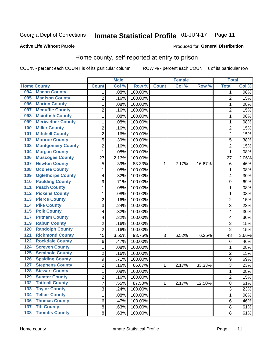#### Inmate Statistical Profile 01-JUN-17 Page 11

**Active Life Without Parole** 

### Produced for General Distribution

# Home county, self-reported at entry to prison

COL % - percent each COUNT is of its particular column

|                  |                          |                | <b>Male</b> |         |              | <b>Female</b> |        | <b>Total</b>            |       |
|------------------|--------------------------|----------------|-------------|---------|--------------|---------------|--------|-------------------------|-------|
|                  | <b>Home County</b>       | <b>Count</b>   | Col %       | Row %   | <b>Count</b> | Col %         | Row %  | <b>Total</b>            | Col % |
| 094              | <b>Macon County</b>      | 1.             | .08%        | 100.00% |              |               |        | 1                       | .08%  |
| 095              | <b>Madison County</b>    | 2              | .16%        | 100.00% |              |               |        | $\overline{2}$          | .15%  |
| 096              | <b>Marion County</b>     | $\mathbf{1}$   | .08%        | 100.00% |              |               |        | 1                       | .08%  |
| 097              | <b>Mcduffie County</b>   | 2              | .16%        | 100.00% |              |               |        | $\overline{2}$          | .15%  |
| 098              | <b>Mcintosh County</b>   | $\mathbf{1}$   | .08%        | 100.00% |              |               |        | 1                       | .08%  |
| 099              | <b>Meriwether County</b> | $\mathbf 1$    | .08%        | 100.00% |              |               |        | 1                       | .08%  |
| 100              | <b>Miller County</b>     | $\overline{2}$ | .16%        | 100.00% |              |               |        | $\overline{2}$          | .15%  |
| 101              | <b>Mitchell County</b>   | $\overline{c}$ | .16%        | 100.00% |              |               |        | $\overline{2}$          | .15%  |
| 102              | <b>Monroe County</b>     | 5              | .39%        | 100.00% |              |               |        | 5                       | .38%  |
| 103              | <b>Montgomery County</b> | $\overline{c}$ | .16%        | 100.00% |              |               |        | $\overline{2}$          | .15%  |
| 104              | <b>Morgan County</b>     | $\mathbf{1}$   | .08%        | 100.00% |              |               |        | 1                       | .08%  |
| 106              | <b>Muscogee County</b>   | 27             | 2.13%       | 100.00% |              |               |        | 27                      | 2.06% |
| 107              | <b>Newton County</b>     | 5              | .39%        | 83.33%  | 1            | 2.17%         | 16.67% | 6                       | .46%  |
| 108              | <b>Oconee County</b>     | $\mathbf{1}$   | .08%        | 100.00% |              |               |        | 1                       | .08%  |
| 109              | <b>Oglethorpe County</b> | 4              | .32%        | 100.00% |              |               |        | $\overline{\mathbf{4}}$ | .30%  |
| 110              | <b>Paulding County</b>   | 9              | .71%        | 100.00% |              |               |        | 9                       | .69%  |
| 111              | <b>Peach County</b>      | $\mathbf 1$    | .08%        | 100.00% |              |               |        | 1                       | .08%  |
| $\overline{112}$ | <b>Pickens County</b>    | $\mathbf 1$    | .08%        | 100.00% |              |               |        | 1                       | .08%  |
| 113              | <b>Pierce County</b>     | $\overline{2}$ | .16%        | 100.00% |              |               |        | $\overline{2}$          | .15%  |
| 114              | <b>Pike County</b>       | 3              | .24%        | 100.00% |              |               |        | $\overline{3}$          | .23%  |
| $\overline{115}$ | <b>Polk County</b>       | 4              | .32%        | 100.00% |              |               |        | $\overline{\mathbf{4}}$ | .30%  |
| 117              | <b>Putnam County</b>     | 4              | .32%        | 100.00% |              |               |        | 4                       | .30%  |
| 119              | <b>Rabun County</b>      | $\overline{c}$ | .16%        | 100.00% |              |               |        | $\overline{2}$          | .15%  |
| 120              | <b>Randolph County</b>   | $\overline{2}$ | .16%        | 100.00% |              |               |        | $\overline{2}$          | .15%  |
| 121              | <b>Richmond County</b>   | 45             | 3.55%       | 93.75%  | 3            | 6.52%         | 6.25%  | 48                      | 3.66% |
| 122              | <b>Rockdale County</b>   | 6              | .47%        | 100.00% |              |               |        | 6                       | .46%  |
| 124              | <b>Screven County</b>    | $\mathbf 1$    | .08%        | 100.00% |              |               |        | 1                       | .08%  |
| 125              | <b>Seminole County</b>   | $\overline{2}$ | .16%        | 100.00% |              |               |        | $\overline{2}$          | .15%  |
| 126              | <b>Spalding County</b>   | 9              | .71%        | 100.00% |              |               |        | 9                       | .69%  |
| 127              | <b>Stephens County</b>   | $\overline{2}$ | .16%        | 66.67%  | 1            | 2.17%         | 33.33% | 3                       | .23%  |
| 128              | <b>Stewart County</b>    | $\mathbf{1}$   | .08%        | 100.00% |              |               |        | 1                       | .08%  |
| 129              | <b>Sumter County</b>     | 2              | .16%        | 100.00% |              |               |        | $\overline{2}$          | .15%  |
| 132              | <b>Tattnall County</b>   | $\overline{7}$ | .55%        | 87.50%  | 1            | 2.17%         | 12.50% | 8                       | .61%  |
| 133              | <b>Taylor County</b>     | 3              | .24%        | 100.00% |              |               |        | 3                       | .23%  |
| 134              | <b>Telfair County</b>    | $\mathbf{1}$   | .08%        | 100.00% |              |               |        | 1                       | .08%  |
| 136              | <b>Thomas County</b>     | 6              | .47%        | 100.00% |              |               |        | 6                       | .46%  |
| $\overline{137}$ | <b>Tift County</b>       | 8              | .63%        | 100.00% |              |               |        | 8                       | .61%  |
| 138              | <b>Toombs County</b>     | 8              | .63%        | 100.00% |              |               |        | 8                       | .61%  |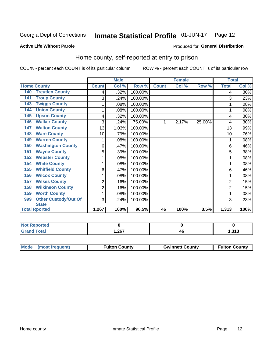#### Inmate Statistical Profile 01-JUN-17 Page 12

### **Active Life Without Parole**

### Produced for General Distribution

# Home county, self-reported at entry to prison

COL % - percent each COUNT is of its particular column

|                                    |                | <b>Male</b>               |         |              | <b>Female</b> |        | <b>Total</b>   |       |
|------------------------------------|----------------|---------------------------|---------|--------------|---------------|--------|----------------|-------|
| <b>Home County</b>                 | <b>Count</b>   | $\overline{\text{Col}}$ % | Row %   | <b>Count</b> | Col %         | Row %  | <b>Total</b>   | Col % |
| <b>Treutlen County</b><br>140      | 4              | .32%                      | 100.00% |              |               |        | 4              | .30%  |
| <b>Troup County</b><br>141         | 3              | .24%                      | 100.00% |              |               |        | 3              | .23%  |
| <b>Twiggs County</b><br>143        | 1              | .08%                      | 100.00% |              |               |        |                | .08%  |
| <b>Union County</b><br>144         | 1              | .08%                      | 100.00% |              |               |        |                | .08%  |
| <b>Upson County</b><br>145         | 4              | .32%                      | 100.00% |              |               |        | 4              | .30%  |
| <b>Walker County</b><br>146        | 3              | .24%                      | 75.00%  | 1            | 2.17%         | 25.00% | 4              | .30%  |
| <b>Walton County</b><br>147        | 13             | 1.03%                     | 100.00% |              |               |        | 13             | .99%  |
| <b>Ware County</b><br>148          | 10             | .79%                      | 100.00% |              |               |        | 10             | .76%  |
| <b>Warren County</b><br>149        | 1              | .08%                      | 100.00% |              |               |        |                | .08%  |
| <b>Washington County</b><br>150    | 6              | .47%                      | 100.00% |              |               |        | 6              | .46%  |
| <b>Wayne County</b><br>151         | 5              | .39%                      | 100.00% |              |               |        | 5              | .38%  |
| <b>Webster County</b><br>152       | 1              | .08%                      | 100.00% |              |               |        |                | .08%  |
| <b>White County</b><br>154         | 1              | .08%                      | 100.00% |              |               |        |                | .08%  |
| <b>Whitfield County</b><br>155     | 6              | .47%                      | 100.00% |              |               |        | 6              | .46%  |
| <b>Wilcox County</b><br>156        | 1              | .08%                      | 100.00% |              |               |        |                | .08%  |
| <b>Wilkes County</b><br>157        | $\overline{2}$ | .16%                      | 100.00% |              |               |        | $\overline{2}$ | .15%  |
| <b>Wilkinson County</b><br>158     | 2              | .16%                      | 100.00% |              |               |        | $\overline{2}$ | .15%  |
| <b>Worth County</b><br>159         | 1              | .08%                      | 100.00% |              |               |        | 1              | .08%  |
| <b>Other Custody/Out Of</b><br>999 | 3              | .24%                      | 100.00% |              |               |        | 3              | .23%  |
| <b>State</b>                       |                |                           |         |              |               |        |                |       |
| <b>Total Rported</b>               | 1,267          | 100%                      | 96.5%   | 46           | 100%          | 3.5%   | 1,313          | 100%  |

| <b>Not Reported</b> |      |          |             |
|---------------------|------|----------|-------------|
| <b>Total</b>        | ,267 | л.<br>TV | 242<br>טוט, |

| Mode (most frequent) | <b>Fulton County</b> | <b>Gwinnett County</b> | <b>Fulton County</b> |
|----------------------|----------------------|------------------------|----------------------|
|                      |                      |                        |                      |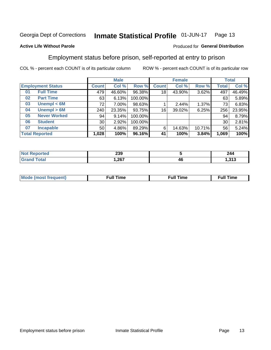#### **Inmate Statistical Profile 01-JUN-17** Page 13

# **Active Life Without Parole**

### Produced for General Distribution

# Employment status before prison, self-reported at entry to prison

COL % - percent each COUNT is of its particular column

|                           | <b>Male</b>     |          |         | <b>Female</b>   |        |        | <b>Total</b> |        |
|---------------------------|-----------------|----------|---------|-----------------|--------|--------|--------------|--------|
| <b>Employment Status</b>  | <b>Count</b>    | Col %    | Row %   | <b>Count</b>    | Col %  | Row %  | Total        | Col %  |
| <b>Full Time</b><br>01    | 479             | 46.60%   | 96.38%  | 18              | 43.90% | 3.62%  | 497          | 46.49% |
| <b>Part Time</b><br>02    | 63              | 6.13%    | 100.00% |                 |        |        | 63           | 5.89%  |
| Unempl $<$ 6M<br>03       | 72              | $7.00\%$ | 98.63%  |                 | 2.44%  | 1.37%  | 73           | 6.83%  |
| Unempl > 6M<br>04         | 240             | 23.35%   | 93.75%  | 16 <sub>1</sub> | 39.02% | 6.25%  | 256          | 23.95% |
| <b>Never Worked</b><br>05 | 94              | 9.14%    | 100.00% |                 |        |        | 94           | 8.79%  |
| <b>Student</b><br>06      | 30 <sub>1</sub> | 2.92%    | 100.00% |                 |        |        | 30           | 2.81%  |
| <b>Incapable</b><br>07    | 50              | 4.86%    | 89.29%  | 6               | 14.63% | 10.71% | 56           | 5.24%  |
| <b>Total Reported</b>     | 1,028           | 100%     | 96.16%  | 41              | 100%   | 3.84%  | 1,069        | 100%   |

| 220<br>∠งง |    | 244      |
|------------|----|----------|
| 1,267      | 46 | .24<br>. |

| Mc | ∙u∥<br>----<br>ıme | ίuΙ<br>Πmε |
|----|--------------------|------------|
|    |                    |            |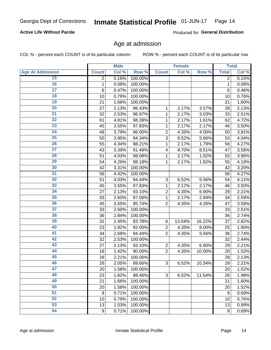# **Active Life Without Parole**

Produced for General Distribution

# Age at admission

COL % - percent each COUNT is of its particular column

|                         |                | <b>Male</b> |         |                | <b>Female</b> |        |                  | <b>Total</b> |
|-------------------------|----------------|-------------|---------|----------------|---------------|--------|------------------|--------------|
| <b>Age At Admission</b> | <b>Count</b>   | Col %       | Row %   | <b>Count</b>   | Col %         | Row %  | <b>Total</b>     | Col %        |
| 15                      | $\overline{2}$ | 0.16%       | 100.00% |                |               |        | $\overline{2}$   | 0.15%        |
| 16                      | 1              | 0.08%       | 100.00% |                |               |        | $\mathbf{1}$     | 0.08%        |
| $\overline{17}$         | 6              | 0.47%       | 100.00% |                |               |        | 6                | 0.46%        |
| 18                      | 10             | 0.79%       | 100.00% |                |               |        | 10               | 0.76%        |
| 19                      | 21             | 1.66%       | 100.00% |                |               |        | 21               | 1.60%        |
| $\overline{20}$         | 27             | 2.13%       | 96.43%  | 1              | 2.17%         | 3.57%  | 28               | 2.13%        |
| 21                      | 32             | 2.53%       | 96.97%  | 1              | 2.17%         | 3.03%  | 33               | 2.51%        |
| $\overline{22}$         | 61             | 4.81%       | 98.39%  | 1              | 2.17%         | 1.61%  | 62               | 4.72%        |
| $\overline{23}$         | 45             | 3.55%       | 97.83%  | 1              | 2.17%         | 2.17%  | 46               | 3.50%        |
| $\overline{24}$         | 48             | 3.79%       | 96.00%  | $\overline{2}$ | 4.35%         | 4.00%  | 50               | 3.81%        |
| $\overline{25}$         | 50             | 3.95%       | 94.34%  | $\overline{3}$ | 6.52%         | 5.66%  | 53               | 4.04%        |
| 26                      | 55             | 4.34%       | 98.21%  | 1              | 2.17%         | 1.79%  | 56               | 4.27%        |
| $\overline{27}$         | 43             | 3.39%       | 91.49%  | 4              | 8.70%         | 8.51%  | 47               | 3.58%        |
| 28                      | 51             | 4.03%       | 98.08%  | 1              | 2.17%         | 1.92%  | 52               | 3.96%        |
| 29                      | 54             | 4.26%       | 98.18%  | 1              | 2.17%         | 1.82%  | 55               | 4.19%        |
| 30                      | 42             | 3.31%       | 100.00% |                |               |        | 42               | 3.20%        |
| 31                      | 56             | 4.42%       | 100.00% |                |               |        | 56               | 4.27%        |
| 32                      | 51             | 4.03%       | 94.44%  | 3              | 6.52%         | 5.56%  | 54               | 4.11%        |
| 33                      | 45             | 3.55%       | 97.83%  | 1              | 2.17%         | 2.17%  | 46               | 3.50%        |
| $\overline{34}$         | 27             | 2.13%       | 93.10%  | $\overline{2}$ | 4.35%         | 6.90%  | 29               | 2.21%        |
| 35                      | 33             | 2.60%       | 97.06%  | 1              | 2.17%         | 2.94%  | 34               | 2.59%        |
| 36                      | 45             | 3.55%       | 95.74%  | $\overline{2}$ | 4.35%         | 4.26%  | 47               | 3.58%        |
| $\overline{37}$         | 33             | 2.60%       | 100.00% |                |               |        | 33               | 2.51%        |
| 38                      | 36             | 2.84%       | 100.00% |                |               |        | 36               | 2.74%        |
| 39                      | 31             | 2.45%       | 83.78%  | $\,6$          | 13.04%        | 16.22% | 37               | 2.82%        |
| 40                      | 23             | 1.82%       | 92.00%  | $\overline{c}$ | 4.35%         | 8.00%  | 25               | 1.90%        |
| 41                      | 34             | 2.68%       | 94.44%  | $\overline{2}$ | 4.35%         | 5.56%  | 36               | 2.74%        |
| 42                      | 32             | 2.53%       | 100.00% |                |               |        | 32               | 2.44%        |
| 43                      | 27             | 2.13%       | 93.10%  | $\overline{2}$ | 4.35%         | 6.90%  | 29               | 2.21%        |
| 44                      | 18             | 1.42%       | 90.00%  | $\overline{2}$ | 4.35%         | 10.00% | 20               | 1.52%        |
| 45                      | 28             | 2.21%       | 100.00% |                |               |        | 28               | 2.13%        |
| 46                      | 26             | 2.05%       | 89.66%  | 3              | 6.52%         | 10.34% | 29               | 2.21%        |
| 47                      | 20             | 1.58%       | 100.00% |                |               |        | 20               | 1.52%        |
| 48                      | 23             | 1.82%       | 88.46%  | 3              | 6.52%         | 11.54% | 26               | 1.98%        |
| 49                      | 21             | 1.66%       | 100.00% |                |               |        | 21               | 1.60%        |
| 50                      | 20             | 1.58%       | 100.00% |                |               |        | 20               | 1.52%        |
| $\overline{51}$         | 9              | 0.71%       | 100.00% |                |               |        | $\boldsymbol{9}$ | 0.69%        |
| 52                      | 10             | 0.79%       | 100.00% |                |               |        | 10               | 0.76%        |
| 53                      | 13             | 1.03%       | 100.00% |                |               |        | 13               | 0.99%        |
| 54                      | 9              | 0.71%       | 100.00% |                |               |        | 9                | 0.69%        |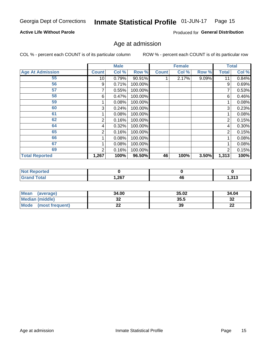#### Inmate Statistical Profile 01-JUN-17 Page 15

# **Active Life Without Parole**

Produced for General Distribution

# Age at admission

COL % - percent each COUNT is of its particular column

|                         |                 | <b>Male</b> |         |              | <b>Female</b> |       |              | <b>Total</b> |
|-------------------------|-----------------|-------------|---------|--------------|---------------|-------|--------------|--------------|
| <b>Age At Admission</b> | <b>Count</b>    | Col %       | Row %   | <b>Count</b> | Col %         | Row % | <b>Total</b> | Col %        |
| 55                      | 10 <sup>1</sup> | 0.79%       | 90.91%  |              | 2.17%         | 9.09% | 11           | 0.84%        |
| 56                      | 9               | 0.71%       | 100.00% |              |               |       | 9            | 0.69%        |
| 57                      |                 | 0.55%       | 100.00% |              |               |       | 7            | 0.53%        |
| 58                      | 6               | 0.47%       | 100.00% |              |               |       | 6            | 0.46%        |
| 59                      |                 | 0.08%       | 100.00% |              |               |       |              | 0.08%        |
| 60                      | 3               | 0.24%       | 100.00% |              |               |       | 3            | 0.23%        |
| 61                      |                 | 0.08%       | 100.00% |              |               |       |              | 0.08%        |
| 62                      | 2               | 0.16%       | 100.00% |              |               |       | 2            | 0.15%        |
| 64                      | 4               | 0.32%       | 100.00% |              |               |       | 4            | 0.30%        |
| 65                      | 2               | 0.16%       | 100.00% |              |               |       | 2            | 0.15%        |
| 66                      |                 | 0.08%       | 100.00% |              |               |       |              | 0.08%        |
| 67                      |                 | 0.08%       | 100.00% |              |               |       |              | 0.08%        |
| 69                      | 2               | 0.16%       | 100.00% |              |               |       | 2            | 0.15%        |
| <b>Total Reported</b>   | 1,267           | 100%        | 96.50%  | 46           | 100%          | 3.50% | 1,313        | 100%         |

| <b>Not Reported</b> |      |    |                |
|---------------------|------|----|----------------|
| <b>Grand Total</b>  | .267 | 4Ł | - 242<br>1.919 |

| <b>Mean</b><br>(average) | 34.00 | 35.02 | 34.04    |
|--------------------------|-------|-------|----------|
| <b>Median (middle)</b>   | JZ    | 35.5  | 32       |
| Mode<br>(most frequent)  | --    | 39    | n.<br>LL |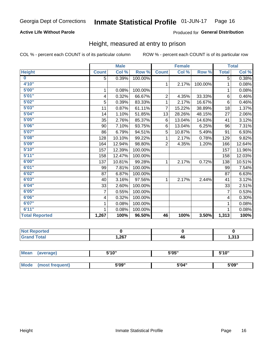# **Active Life Without Parole**

### Produced for General Distribution

# Height, measured at entry to prison

COL % - percent each COUNT is of its particular column

|                       |                         | <b>Male</b> |         |                | <b>Female</b> |         |                | <b>Total</b> |
|-----------------------|-------------------------|-------------|---------|----------------|---------------|---------|----------------|--------------|
| <b>Height</b>         | <b>Count</b>            | Col %       | Row %   | <b>Count</b>   | Col %         | Row %   | <b>Total</b>   | Col %        |
| $\bf{0}$              | 5                       | 0.39%       | 100.00% |                |               |         | 5              | 0.38%        |
| 4'10"                 |                         |             |         | $\mathbf 1$    | 2.17%         | 100.00% | 1              | 0.08%        |
| 5'00''                | 1                       | 0.08%       | 100.00% |                |               |         | 1              | 0.08%        |
| 5'01''                | $\overline{\mathbf{4}}$ | 0.32%       | 66.67%  | $\overline{2}$ | 4.35%         | 33.33%  | 6              | 0.46%        |
| 5'02"                 | 5                       | 0.39%       | 83.33%  | $\mathbf{1}$   | 2.17%         | 16.67%  | 6              | 0.46%        |
| 5'03''                | 11                      | 0.87%       | 61.11%  | 7              | 15.22%        | 38.89%  | 18             | 1.37%        |
| 5'04"                 | 14                      | 1.10%       | 51.85%  | 13             | 28.26%        | 48.15%  | 27             | 2.06%        |
| 5'05"                 | 35                      | 2.76%       | 85.37%  | 6              | 13.04%        | 14.63%  | 41             | 3.12%        |
| 5'06''                | 90                      | 7.10%       | 93.75%  | 6              | 13.04%        | 6.25%   | 96             | 7.31%        |
| 5'07''                | 86                      | 6.79%       | 94.51%  | 5              | 10.87%        | 5.49%   | 91             | 6.93%        |
| 5'08''                | 128                     | 10.10%      | 99.22%  | 1.             | 2.17%         | 0.78%   | 129            | 9.82%        |
| 5'09''                | 164                     | 12.94%      | 98.80%  | $\overline{2}$ | 4.35%         | 1.20%   | 166            | 12.64%       |
| 5'10''                | 157                     | 12.39%      | 100.00% |                |               |         | 157            | 11.96%       |
| 5'11"                 | 158                     | 12.47%      | 100.00% |                |               |         | 158            | 12.03%       |
| 6'00''                | 137                     | 10.81%      | 99.28%  | $\mathbf 1$    | 2.17%         | 0.72%   | 138            | 10.51%       |
| 6'01''                | 99                      | 7.81%       | 100.00% |                |               |         | 99             | 7.54%        |
| 6'02"                 | 87                      | 6.87%       | 100.00% |                |               |         | 87             | 6.63%        |
| 6'03''                | 40                      | 3.16%       | 97.56%  | $\mathbf{1}$   | 2.17%         | 2.44%   | 41             | 3.12%        |
| 6'04"                 | 33                      | 2.60%       | 100.00% |                |               |         | 33             | 2.51%        |
| 6'05"                 | $\overline{7}$          | 0.55%       | 100.00% |                |               |         | $\overline{7}$ | 0.53%        |
| 6'06''                | 4                       | 0.32%       | 100.00% |                |               |         | 4              | 0.30%        |
| 6'07"                 | 1                       | 0.08%       | 100.00% |                |               |         | 1              | 0.08%        |
| 6'11''                | 1                       | 0.08%       | 100.00% |                |               |         | 1              | 0.08%        |
| <b>Total Reported</b> | 1,267                   | 100%        | 96.50%  | 46             | 100%          | 3.50%   | 1,313          | 100%         |

| <b>eported</b> |      |    |      |
|----------------|------|----|------|
| <b>cotal</b>   | 267, | 46 | ,313 |

| <b>Mean</b> | (average)       | 5'10" | 5'05" | 5'10'' |
|-------------|-----------------|-------|-------|--------|
|             |                 |       |       |        |
| <b>Mode</b> | (most frequent) | 5'09" | 5'04" | 5'09"  |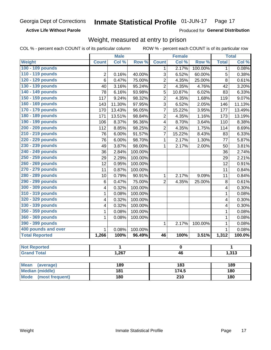**Active Life Without Parole** 

Produced for General Distribution

# Weight, measured at entry to prison

COL % - percent each COUNT is of its particular column

ROW % - percent each COUNT is of its particular row

|                          |                         | <b>Male</b> |         |                         | <b>Female</b> |         |              | <b>Total</b> |
|--------------------------|-------------------------|-------------|---------|-------------------------|---------------|---------|--------------|--------------|
| <b>Weight</b>            | <b>Count</b>            | Col %       | Row %   | <b>Count</b>            | Col %         | Row %   | <b>Total</b> | Col %        |
| 100 - 109 pounds         |                         |             |         | 1                       | 2.17%         | 100.00% | 1            | 0.08%        |
| 110 - 119 pounds         | $\boldsymbol{2}$        | 0.16%       | 40.00%  | $\overline{3}$          | 6.52%         | 60.00%  | 5            | 0.38%        |
| 120 - 129 pounds         | 6                       | 0.47%       | 75.00%  | $\overline{2}$          | 4.35%         | 25.00%  | 8            | 0.61%        |
| 130 - 139 pounds         | 40                      | 3.16%       | 95.24%  | $\overline{2}$          | 4.35%         | 4.76%   | 42           | 3.20%        |
| 140 - 149 pounds         | 78                      | 6.16%       | 93.98%  | 5                       | 10.87%        | 6.02%   | 83           | 6.33%        |
| 150 - 159 pounds         | 117                     | 9.24%       | 98.32%  | $\overline{2}$          | 4.35%         | 1.68%   | 119          | 9.07%        |
| 160 - 169 pounds         | 143                     | 11.30%      | 97.95%  | 3                       | 6.52%         | 2.05%   | 146          | 11.13%       |
| 170 - 179 pounds         | 170                     | 13.43%      | 96.05%  | $\overline{7}$          | 15.22%        | 3.95%   | 177          | 13.49%       |
| 180 - 189 pounds         | 171                     | 13.51%      | 98.84%  | $\overline{2}$          | 4.35%         | 1.16%   | 173          | 13.19%       |
| 190 - 199 pounds         | 106                     | 8.37%       | 96.36%  | 4                       | 8.70%         | 3.64%   | 110          | 8.38%        |
| 200 - 209 pounds         | 112                     | 8.85%       | 98.25%  | $\overline{2}$          | 4.35%         | 1.75%   | 114          | 8.69%        |
| 210 - 219 pounds         | 76                      | 6.00%       | 91.57%  | $\overline{7}$          | 15.22%        | 8.43%   | 83           | 6.33%        |
| 220 - 229 pounds         | 76                      | 6.00%       | 98.70%  | $\mathbf{1}$            | 2.17%         | 1.30%   | 77           | 5.87%        |
| 230 - 239 pounds         | 49                      | 3.87%       | 98.00%  | $\overline{1}$          | 2.17%         | 2.00%   | 50           | 3.81%        |
| 240 - 249 pounds         | 36                      | 2.84%       | 100.00% |                         |               |         | 36           | 2.74%        |
| 250 - 259 pounds         | 29                      | 2.29%       | 100.00% |                         |               |         | 29           | 2.21%        |
| 260 - 269 pounds         | 12                      | 0.95%       | 100.00% |                         |               |         | 12           | 0.91%        |
| 270 - 279 pounds         | 11                      | 0.87%       | 100.00% |                         |               |         | 11           | 0.84%        |
| 280 - 289 pounds         | 10                      | 0.79%       | 90.91%  | $\mathbf{1}$            | 2.17%         | 9.09%   | 11           | 0.84%        |
| 290 - 299 pounds         | $6\phantom{1}6$         | 0.47%       | 75.00%  | $\overline{2}$          | 4.35%         | 25.00%  | 8            | 0.61%        |
| 300 - 309 pounds         | 4                       | 0.32%       | 100.00% |                         |               |         | 4            | 0.30%        |
| 310 - 319 pounds         | $\mathbf 1$             | 0.08%       | 100.00% |                         |               |         | 1            | 0.08%        |
| 320 - 329 pounds         | $\overline{\mathbf{4}}$ | 0.32%       | 100.00% |                         |               |         | 4            | 0.30%        |
| 330 - 339 pounds         | $\overline{\mathbf{4}}$ | 0.32%       | 100.00% |                         |               |         | 4            | 0.30%        |
| 350 - 359 pounds         | 1                       | 0.08%       | 100.00% |                         |               |         | $\mathbf{1}$ | 0.08%        |
| 360 - 369 pounds         | 1                       | 0.08%       | 100.00% |                         |               |         | 1            | 0.08%        |
| 390 - 399 pounds         |                         |             |         | $\mathbf{1}$            | 2.17%         | 100.00% | $\mathbf{1}$ | 0.08%        |
| 400 pounds and over      | $\mathbf{1}$            | 0.08%       | 100.00% |                         |               |         | $\mathbf{1}$ | 0.08%        |
| <b>Total Reported</b>    | 1,266                   | 100%        | 96.49%  | 46                      | 100%          | 3.51%   | 1,312        | 100.0%       |
|                          |                         |             |         |                         |               |         |              |              |
| <b>Not Reported</b>      |                         | 1           |         | $\overline{\mathbf{0}}$ |               |         |              | 1            |
| <b>Grand Total</b>       |                         | 1,267       |         | 46                      |               |         | 1,313        |              |
|                          |                         |             |         |                         |               |         |              |              |
| <b>Mean</b><br>(average) |                         | 189         |         |                         | 183           |         |              | 189          |
| <b>Median (middle)</b>   |                         | 181         |         |                         | 174.5         |         |              | 180          |

Mode (most frequent)

 $\overline{210}$ 

 $180$ 

 $180$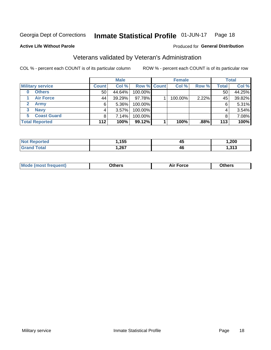#### Inmate Statistical Profile 01-JUN-17 Page 18

### **Active Life Without Parole**

# Produced for General Distribution

# Veterans validated by Veteran's Administration

COL % - percent each COUNT is of its particular column

|                          |              | <b>Male</b> |             | <b>Female</b> |       |              | <b>Total</b> |
|--------------------------|--------------|-------------|-------------|---------------|-------|--------------|--------------|
| <b>Military service</b>  | <b>Count</b> | Col %       | Row % Count | Col %         | Row % | <b>Total</b> | Col %        |
| <b>Others</b><br>0       | 50           | 44.64%      | 100.00%     |               |       | 50           | 44.25%       |
| <b>Air Force</b>         | 44           | 39.29%      | 97.78%      | 100.00%       | 2.22% | 45           | 39.82%       |
| <b>Army</b>              | 6            | $5.36\%$    | 100.00%     |               |       | 6            | 5.31%        |
| <b>Navy</b><br>3         |              | $3.57\%$    | 100.00%     |               |       | 4            | 3.54%        |
| <b>Coast Guard</b><br>5. |              | 7.14%       | 100.00%     |               |       |              | 7.08%        |
| <b>Total Reported</b>    | $112$        | 100%        | 99.12%      | 100%          | .88%  | 113          | 100%         |

| тес | 155<br>ניט           | 45 | ,200 |
|-----|----------------------|----|------|
| int | 2027<br>,∠v <i>i</i> | 46 | 242  |

| <b>Moo.</b> |
|-------------|
|-------------|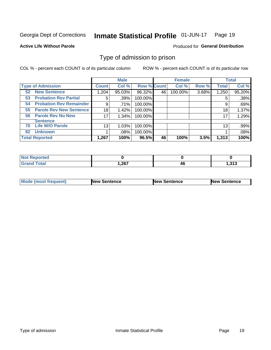#### **Inmate Statistical Profile 01-JUN-17** Page 19

### **Active Life Without Parole**

### Produced for General Distribution

# Type of admission to prison

COL % - percent each COUNT is of its particular column

|                                      |              | <b>Male</b> |                    |    | <b>Female</b> |       |              | <b>Total</b> |
|--------------------------------------|--------------|-------------|--------------------|----|---------------|-------|--------------|--------------|
| <b>Type of Admission</b>             | <b>Count</b> | Col %       | <b>Row % Count</b> |    | Col %         | Row % | <b>Total</b> | Col %        |
| <b>New Sentence</b><br>52            | 1,204        | 95.03%      | 96.32%             | 46 | 100.00%       | 3.68% | 1,250        | 95.20%       |
| <b>Probation Rev Partial</b><br>53   | 5            | .39%        | 100.00%            |    |               |       | 5            | .38%         |
| <b>Probation Rev Remainder</b><br>54 | 9            | .71%        | 100.00%            |    |               |       | 9            | .69%         |
| <b>Parole Rev New Sentence</b><br>55 | 18           | 1.42%       | 100.00%            |    |               |       | 18           | 1.37%        |
| <b>Parole Rev No New</b><br>56       | 17           | 1.34%       | 100.00%            |    |               |       | 17           | 1.29%        |
| <b>Sentence</b>                      |              |             |                    |    |               |       |              |              |
| <b>Life W/O Parole</b><br>70         | 13           | 1.03%       | 100.00%            |    |               |       | 13           | .99%         |
| <b>Unknown</b><br>82                 |              | .08%        | 100.00%            |    |               |       |              | .08%         |
| <b>Total Reported</b>                | 1,267        | 100%        | 96.5%              | 46 | 100%          | 3.5%  | 1,313        | 100%         |

| <b>Not Reported</b>    |       |    |                   |
|------------------------|-------|----|-------------------|
| <b>Total</b><br>'Grand | 1,267 | 70 | - 242<br>د ۱ د. ۱ |

| Mode (most frequent) | <b>New Sentence</b> | <b>New Sentence</b> | <b>New Sentence</b> |
|----------------------|---------------------|---------------------|---------------------|
|                      |                     |                     |                     |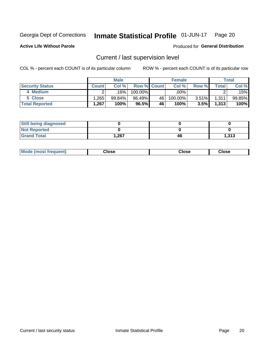#### Inmate Statistical Profile 01-JUN-17 Page 20

**Active Life Without Parole** 

Produced for General Distribution

# Current / last supervision level

COL % - percent each COUNT is of its particular column

|                        |              | <b>Male</b> |                    |    | <b>Female</b> |       |       | <b>Total</b> |
|------------------------|--------------|-------------|--------------------|----|---------------|-------|-------|--------------|
| <b>Security Status</b> | <b>Count</b> | Col%        | <b>Row % Count</b> |    | Col %         | Row % | Total | Col %        |
| 4 Medium               |              | 16%         | $100.00\%$         |    | .00%          |       |       | .15%l        |
| 5 Close                | .265         | 99.84%      | 96.49%             | 46 | 100.00%       | 3.51% | 1,311 | 99.85%       |
| <b>Total Reported</b>  | .267         | 100%        | 96.5%              | 46 | 100%          | 3.5%  | 1,313 | 100%         |

| <b>Still being diagnosed</b> |      |    |       |
|------------------------------|------|----|-------|
| <b>Not Reported</b>          |      |    |       |
| <b>Grand Total</b>           | .267 | 46 | 1,313 |

| <b>AhoM</b><br>rreauent) | <b>Close</b> | Close | Close |
|--------------------------|--------------|-------|-------|
|                          |              |       |       |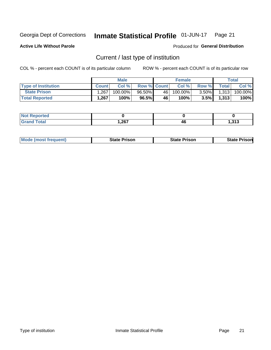#### Inmate Statistical Profile 01-JUN-17 Page 21

**Active Life Without Parole** 

Produced for General Distribution

# Current / last type of institution

COL % - percent each COUNT is of its particular column

|                            |              | <b>Male</b> |                    |      | <b>Female</b> |          |              | <b>Total</b> |
|----------------------------|--------------|-------------|--------------------|------|---------------|----------|--------------|--------------|
| <b>Type of Institution</b> | <b>Count</b> | Col%        | <b>Row % Count</b> |      | Col %         | Row %    | <b>Total</b> | Col %        |
| <b>State Prison</b>        | .267         | 100.00%」    | $96.50\%$          | 46 l | $100.00\%$    | $3.50\%$ | 1,313        | 100.00%      |
| <b>Total Reported</b>      | 1,267        | 100%        | 96.5%              | 46   | $100\%$ .     | $3.5\%$  | 1,313        | 100%         |

| 'ted<br>$\sim$ |      |    |               |
|----------------|------|----|---------------|
|                | ,267 | 46 | 242<br>د ۱ د. |

|  | <b>Mode (most frequent)</b> | State Prison | <b>State Prison</b> | <b>State Prison</b> |
|--|-----------------------------|--------------|---------------------|---------------------|
|--|-----------------------------|--------------|---------------------|---------------------|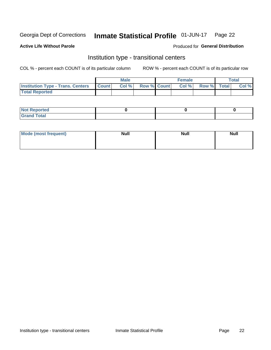#### Inmate Statistical Profile 01-JUN-17 Page 22

# **Active Life Without Parole**

### Produced for General Distribution

# Institution type - transitional centers

COL % - percent each COUNT is of its particular column

|                                          |              | <b>Male</b> |             | <b>Female</b> |             | <b>Total</b> |
|------------------------------------------|--------------|-------------|-------------|---------------|-------------|--------------|
| <b>Institution Type - Trans. Centers</b> | <b>Count</b> | Col %       | Row % Count | Col %         | Row % Total | Col %        |
| <b>Total Reported</b>                    |              |             |             |               |             |              |

| <b>Reported</b><br><b>NOT</b><br>$\sim$            |  |  |
|----------------------------------------------------|--|--|
| $f$ $f \circ f \circ f$<br>$C = 1$<br><b>TULAI</b> |  |  |

| Mode (most frequent) | <b>Null</b> | <b>Null</b> | <b>Null</b> |
|----------------------|-------------|-------------|-------------|
|                      |             |             |             |
|                      |             |             |             |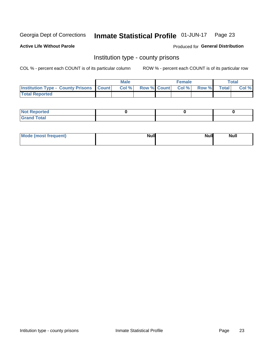#### Inmate Statistical Profile 01-JUN-17 Page 23

**Active Life Without Parole** 

Produced for General Distribution

# Institution type - county prisons

COL % - percent each COUNT is of its particular column

|                                                    | <b>Male</b> |       |  | <b>Female</b> |                          |             | <b>Total</b> |       |  |
|----------------------------------------------------|-------------|-------|--|---------------|--------------------------|-------------|--------------|-------|--|
| <b>Institution Type - County Prisons   Count  </b> |             | Col % |  |               | <b>Row % Count Col %</b> | Row % Total |              | Col % |  |
| <b>Total Reported</b>                              |             |       |  |               |                          |             |              |       |  |

| <b>Not</b><br>: Reported<br> |  |  |
|------------------------------|--|--|
| <b>Total</b><br>---          |  |  |

| Mode (most frequent) | <b>Null</b> | <b>Null</b><br><b>Null</b> |
|----------------------|-------------|----------------------------|
|                      |             |                            |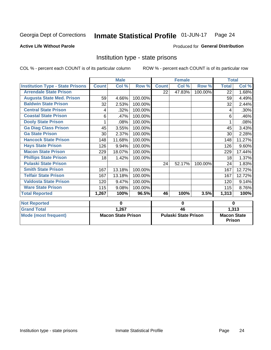#### Inmate Statistical Profile 01-JUN-17 Page 24

### **Active Life Without Parole**

### Produced for General Distribution

# Institution type - state prisons

COL % - percent each COUNT is of its particular column

|                                         | <b>Male</b>               |        |         | <b>Female</b>               |        |         | <b>Total</b>                 |        |
|-----------------------------------------|---------------------------|--------|---------|-----------------------------|--------|---------|------------------------------|--------|
| <b>Institution Type - State Prisons</b> | <b>Count</b>              | Col %  | Row %   | <b>Count</b>                | Col %  | Row %   | <b>Total</b>                 | Col %  |
| <b>Arrendale State Prison</b>           |                           |        |         | 22                          | 47.83% | 100.00% | 22                           | 1.68%  |
| <b>Augusta State Med. Prison</b>        | 59                        | 4.66%  | 100.00% |                             |        |         | 59                           | 4.49%  |
| <b>Baldwin State Prison</b>             | 32                        | 2.53%  | 100.00% |                             |        |         | 32                           | 2.44%  |
| <b>Central State Prison</b>             | 4                         | .32%   | 100.00% |                             |        |         | 4                            | .30%   |
| <b>Coastal State Prison</b>             | 6                         | .47%   | 100.00% |                             |        |         | 6                            | .46%   |
| <b>Dooly State Prison</b>               |                           | .08%   | 100.00% |                             |        |         |                              | .08%   |
| <b>Ga Diag Class Prison</b>             | 45                        | 3.55%  | 100.00% |                             |        |         | 45                           | 3.43%  |
| <b>Ga State Prison</b>                  | 30                        | 2.37%  | 100.00% |                             |        |         | 30                           | 2.28%  |
| <b>Hancock State Prison</b>             | 148                       | 11.68% | 100.00% |                             |        |         | 148                          | 11.27% |
| <b>Hays State Prison</b>                | 126                       | 9.94%  | 100.00% |                             |        |         | 126                          | 9.60%  |
| <b>Macon State Prison</b>               | 229                       | 18.07% | 100.00% |                             |        |         | 229                          | 17.44% |
| <b>Phillips State Prison</b>            | 18                        | 1.42%  | 100.00% |                             |        |         | 18                           | 1.37%  |
| <b>Pulaski State Prison</b>             |                           |        |         | 24                          | 52.17% | 100.00% | 24                           | 1.83%  |
| <b>Smith State Prison</b>               | 167                       | 13.18% | 100.00% |                             |        |         | 167                          | 12.72% |
| <b>Telfair State Prison</b>             | 167                       | 13.18% | 100.00% |                             |        |         | 167                          | 12.72% |
| <b>Valdosta State Prison</b>            | 120                       | 9.47%  | 100.00% |                             |        |         | 120                          | 9.14%  |
| <b>Ware State Prison</b>                | 115                       | 9.08%  | 100.00% |                             |        |         | 115                          | 8.76%  |
| <b>Total Reported</b>                   | 1,267                     | 100%   | 96.5%   | 46                          | 100%   | 3.5%    | 1,313                        | 100%   |
| <b>Not Reported</b>                     | 0                         |        | 0       |                             |        | 0       |                              |        |
| <b>Grand Total</b>                      |                           | 1,267  |         | 46                          |        |         |                              | 1,313  |
| <b>Mode (most frequent)</b>             | <b>Macon State Prison</b> |        |         | <b>Pulaski State Prison</b> |        |         | <b>Macon State</b><br>Prison |        |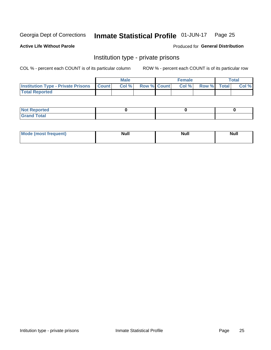#### Inmate Statistical Profile 01-JUN-17 Page 25

### **Active Life Without Parole**

### Produced for General Distribution

# Institution type - private prisons

COL % - percent each COUNT is of its particular column

|                                                 | <b>Male</b> |       |                    | <b>Female</b> |       |             | Total |       |
|-------------------------------------------------|-------------|-------|--------------------|---------------|-------|-------------|-------|-------|
| <b>Institution Type - Private Prisons Count</b> |             | Col % | <b>Row % Count</b> |               | Col % | Row % Total |       | Col % |
| <b>Total Reported</b>                           |             |       |                    |               |       |             |       |       |

| Not Reported           |  |  |
|------------------------|--|--|
| <b>Cotal</b><br>______ |  |  |

| <b>Mo</b><br>frequent) | <b>Null</b> | <b>Null</b> | . . I *<br><b>IVUII</b> |
|------------------------|-------------|-------------|-------------------------|
|                        |             |             |                         |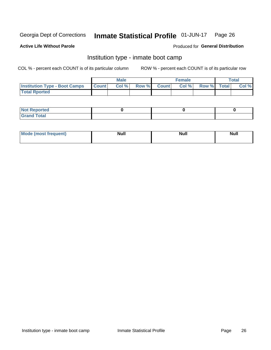#### Inmate Statistical Profile 01-JUN-17 Page 26

### **Active Life Without Parole**

### Produced for General Distribution

# Institution type - inmate boot camp

COL % - percent each COUNT is of its particular column

|                                      | <b>Male</b>     |       |              | <b>Female</b> |       |             | <b>Total</b> |       |
|--------------------------------------|-----------------|-------|--------------|---------------|-------|-------------|--------------|-------|
| <b>Institution Type - Boot Camps</b> | <b>I</b> Count⊥ | Col % | <b>Row %</b> | <b>Count</b>  | Col % | Row % Total |              | Col % |
| <b>Total Rported</b>                 |                 |       |              |               |       |             |              |       |

| <b>Not Reported</b>            |  |  |
|--------------------------------|--|--|
| <b>Total</b><br>C <sub>r</sub> |  |  |

| Mod<br>uamo | Nul.<br>$- - - - - -$ | <b>Null</b> | <br>uu.<br>------ |
|-------------|-----------------------|-------------|-------------------|
|             |                       |             |                   |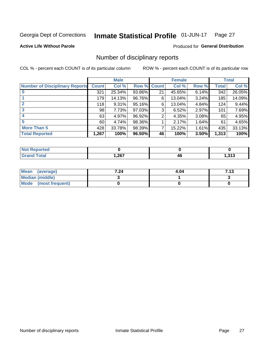#### Inmate Statistical Profile 01-JUN-17 Page 27

**Active Life Without Parole** 

Produced for General Distribution

# Number of disciplinary reports

COL % - percent each COUNT is of its particular column

|                                       | <b>Male</b>  |        |        | <b>Female</b> |        |       | <b>Total</b> |        |
|---------------------------------------|--------------|--------|--------|---------------|--------|-------|--------------|--------|
| <b>Number of Disciplinary Reports</b> | <b>Count</b> | Col %  |        | Row % Count   | Col %  | Row % | Total        | Col %  |
|                                       | 321          | 25.34% | 93.86% | 21            | 45.65% | 6.14% | 342          | 26.05% |
|                                       | 179          | 14.13% | 96.76% | 6             | 13.04% | 3.24% | 185          | 14.09% |
|                                       | 118          | 9.31%  | 95.16% | 6             | 13.04% | 4.84% | 124          | 9.44%  |
| 3                                     | 98           | 7.73%  | 97.03% | 3             | 6.52%  | 2.97% | 101          | 7.69%  |
|                                       | 63           | 4.97%  | 96.92% | 2             | 4.35%  | 3.08% | 65           | 4.95%  |
| 5                                     | 60           | 4.74%  | 98.36% |               | 2.17%  | 1.64% | 61           | 4.65%  |
| <b>More Than 5</b>                    | 428          | 33.78% | 98.39% | 7             | 15.22% | 1.61% | 435          | 33.13% |
| <b>Total Reported</b>                 | 1,267        | 100%   | 96.50% | 46            | 100%   | 3.50% | 1,313        | 100%   |

| тео<br>NG    |      |          |              |
|--------------|------|----------|--------------|
| <b>Cotal</b> | ,267 | 46<br>__ | 242<br>ں ر . |

| Mean (average)         | 7.24 | 4.04 | 7.13 |
|------------------------|------|------|------|
| <b>Median (middle)</b> |      |      |      |
| Mode (most frequent)   |      |      |      |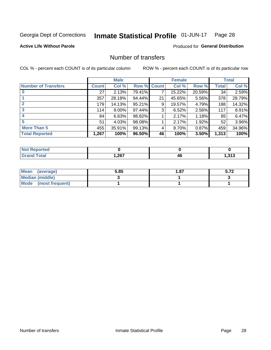#### Inmate Statistical Profile 01-JUN-17 Page 28

### **Active Life Without Parole**

### Produced for General Distribution

# Number of transfers

COL % - percent each COUNT is of its particular column

|                            |              | <b>Male</b> |        |              | <b>Female</b> |        |                 | <b>Total</b> |
|----------------------------|--------------|-------------|--------|--------------|---------------|--------|-----------------|--------------|
| <b>Number of Transfers</b> | <b>Count</b> | Col %       | Row %  | <b>Count</b> | Col %         | Row %  | <b>Total</b>    | Col %        |
|                            | 27           | 2.13%       | 79.41% | 7            | 15.22%        | 20.59% | 34 <sup>1</sup> | 2.59%        |
|                            | 357          | 28.18%      | 94.44% | 21           | 45.65%        | 5.56%  | 378             | 28.79%       |
| $\mathbf{2}$               | 179          | 14.13%      | 95.21% | 9            | 19.57%        | 4.79%  | 188             | 14.32%       |
| 3                          | 114          | $9.00\%$    | 97.44% | 3            | 6.52%         | 2.56%  | 117             | 8.91%        |
|                            | 84           | 6.63%       | 98.82% |              | 2.17%         | 1.18%  | 85              | 6.47%        |
| 5                          | 51           | 4.03%       | 98.08% |              | 2.17%         | 1.92%  | 52              | 3.96%        |
| <b>More Than 5</b>         | 455          | 35.91%      | 99.13% | 4            | 8.70%         | 0.87%  | 459             | 34.96%       |
| <b>Total Reported</b>      | 1,267        | 100%        | 96.50% | 46           | 100%          | 3.50%  | 1,313           | 100%         |

| <b>prted</b><br>NOT |      |    |          |
|---------------------|------|----|----------|
| <b>Total</b>        | .267 | 40 | 242<br>. |

| Mean (average)       | 5.85 | 87. ا | E 70<br>J.IŁ |
|----------------------|------|-------|--------------|
| Median (middle)      |      |       |              |
| Mode (most frequent) |      |       |              |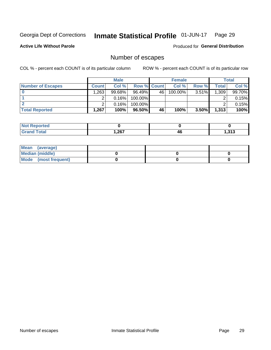#### Inmate Statistical Profile 01-JUN-17 Page 29

**Active Life Without Parole** 

Produced for General Distribution

# Number of escapes

COL % - percent each COUNT is of its particular column

|                          | <b>Male</b>  |           |                    | <b>Female</b> |         |          | Total |        |
|--------------------------|--------------|-----------|--------------------|---------------|---------|----------|-------|--------|
| <b>Number of Escapes</b> | <b>Count</b> | Col %     | <b>Row % Count</b> |               | Col %   | Row %    | Total | Col %  |
|                          | .263         | $99.68\%$ | $96.49\%$          | 46            | 100.00% | $3.51\%$ | 1,309 | 99.70% |
|                          |              | 0.16%     | 100.00%            |               |         |          |       | 0.15%  |
|                          |              | 0.16%     | $100.00\%$         |               |         |          |       | 0.15%  |
| <b>Total Reported</b>    | ,267         | 100%      | 96.50%             | 46            | 100%    | $3.50\%$ | 1,313 | 100%   |

| <b>Reported</b><br>NOT |       |    |                |
|------------------------|-------|----|----------------|
| <b>Total</b>           | 1,267 | 4L | .247<br>59 ا ل |

| Mean (average)       |  |  |
|----------------------|--|--|
| Median (middle)      |  |  |
| Mode (most frequent) |  |  |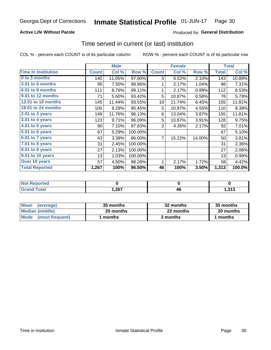# **Active Life Without Parole**

# Produced for General Distribution

# Time served in current (or last) institution

COL % - percent each COUNT is of its particular column

|                            |              | <b>Male</b> |         |              | <b>Female</b> |        |              | <b>Total</b> |
|----------------------------|--------------|-------------|---------|--------------|---------------|--------|--------------|--------------|
| <b>Time In Institution</b> | <b>Count</b> | Col %       | Row %   | <b>Count</b> | Col %         | Row %  | <b>Total</b> | Col %        |
| 0 to 3 months              | 140          | 11.05%      | 97.90%  | 3            | 6.52%         | 2.10%  | 143          | 10.89%       |
| <b>3.01 to 6 months</b>    | 95           | 7.50%       | 98.96%  | 1            | 2.17%         | 1.04%  | 96           | 7.31%        |
| 6.01 to 9 months           | 111          | 8.76%       | 99.11%  | 1            | 2.17%         | 0.89%  | 112          | 8.53%        |
| 9.01 to 12 months          | 71           | 5.60%       | 93.42%  | 5            | 10.87%        | 6.58%  | 76           | 5.79%        |
| <b>12.01 to 18 months</b>  | 145          | 11.44%      | 93.55%  | 10           | 21.74%        | 6.45%  | 155          | 11.81%       |
| <b>18.01 to 24 months</b>  | 105          | 8.29%       | 95.45%  | 5            | 10.87%        | 4.55%  | 110          | 8.38%        |
| $2.01$ to 3 years          | 149          | 11.76%      | 96.13%  | 6            | 13.04%        | 3.87%  | 155          | 11.81%       |
| 3.01 to 4 years            | 123          | 9.71%       | 96.09%  | 5            | 10.87%        | 3.91%  | 128          | 9.75%        |
| $4.01$ to 5 years          | 90           | 7.10%       | 97.83%  | 2            | 4.35%         | 2.17%  | 92           | 7.01%        |
| 5.01 to 6 years            | 67           | 5.29%       | 100.00% |              |               |        | 67           | 5.10%        |
| 6.01 to 7 years            | 43           | 3.39%       | 86.00%  | 7            | 15.22%        | 14.00% | 50           | 3.81%        |
| $7.01$ to 8 years          | 31           | 2.45%       | 100.00% |              |               |        | 31           | 2.36%        |
| 8.01 to 9 years            | 27           | 2.13%       | 100.00% |              |               |        | 27           | 2.06%        |
| 9.01 to 10 years           | 13           | 1.03%       | 100.00% |              |               |        | 13           | 0.99%        |
| Over 10 years              | 57           | 4.50%       | 98.28%  | 1            | 2.17%         | 1.72%  | 58           | 4.42%        |
| <b>Total Reported</b>      | 1,267        | 100%        | 96.50%  | 46           | 100%          | 3.50%  | 1,313        | 100.0%       |

| <b>borted</b><br><b>NOT</b> |      |          |                   |
|-----------------------------|------|----------|-------------------|
| $f \wedge f \wedge f'$      | ,267 | Λſ<br>יי | .242<br>. د ۱ د ۱ |

| <b>Mean</b><br>(average) | 35 months | 32 months | 35 months |
|--------------------------|-----------|-----------|-----------|
| Median (middle)          | 20 months | 22 months | 20 months |
| Mode (most frequent)     | months    | 3 months  | 1 months  |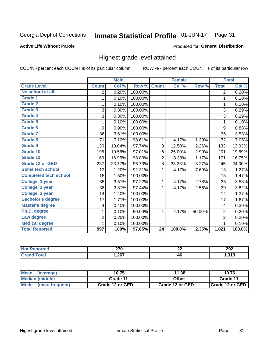#### **Inmate Statistical Profile 01-JUN-17** Page 31

### **Active Life Without Parole**

### Produced for General Distribution

# Highest grade level attained

COL % - percent each COUNT is of its particular column

|                              |                          | <b>Male</b> |         |                 | <b>Female</b> |        |                | <b>Total</b> |
|------------------------------|--------------------------|-------------|---------|-----------------|---------------|--------|----------------|--------------|
| <b>Grade Level</b>           | <b>Count</b>             | Col %       | Row %   | <b>Count</b>    | Col %         | Row %  | <b>Total</b>   | Col %        |
| No school at all             | $\overline{2}$           | 0.20%       | 100.00% |                 |               |        | 2              | 0.20%        |
| Grade 1                      | 1                        | 0.10%       | 100.00% |                 |               |        | 1              | 0.10%        |
| <b>Grade 2</b>               | 1                        | 0.10%       | 100.00% |                 |               |        | $\mathbf{1}$   | 0.10%        |
| Grade 3                      | 3                        | 0.30%       | 100.00% |                 |               |        | 3              | 0.29%        |
| Grade 4                      | 3                        | 0.30%       | 100.00% |                 |               |        | 3              | 0.29%        |
| Grade 5                      | 1                        | 0.10%       | 100.00% |                 |               |        | 1              | 0.10%        |
| Grade 6                      | 9                        | 0.90%       | 100.00% |                 |               |        | 9              | 0.88%        |
| <b>Grade 7</b>               | 36                       | 3.61%       | 100.00% |                 |               |        | 36             | 3.53%        |
| Grade 8                      | 71                       | 7.12%       | 98.61%  | 1               | 4.17%         | 1.39%  | 72             | 7.05%        |
| Grade 9                      | 130                      | 13.04%      | 97.74%  | 3               | 12.50%        | 2.26%  | 133            | 13.03%       |
| Grade 10                     | 195                      | 19.56%      | 97.01%  | 6               | 25.00%        | 2.99%  | 201            | 19.69%       |
| Grade 11                     | 169                      | 16.95%      | 98.83%  | $\overline{2}$  | 8.33%         | 1.17%  | 171            | 16.75%       |
| <b>Grade 12 or GED</b>       | 237                      | 23.77%      | 96.73%  | 8               | 33.33%        | 3.27%  | 245            | 24.00%       |
| <b>Some tech school</b>      | 12                       | 1.20%       | 92.31%  | 1               | 4.17%         | 7.69%  | 13             | 1.27%        |
| <b>Completed tech school</b> | 15                       | 1.50%       | 100.00% |                 |               |        | 15             | 1.47%        |
| College, 1 year              | 35                       | 3.51%       | 97.22%  | 1               | 4.17%         | 2.78%  | 36             | 3.53%        |
| College, 2 year              | 38                       | 3.81%       | 97.44%  | 1               | 4.17%         | 2.56%  | 39             | 3.82%        |
| College, 3 year              | 14                       | 1.40%       | 100.00% |                 |               |        | 14             | 1.37%        |
| <b>Bachelor's degree</b>     | 17                       | 1.71%       | 100.00% |                 |               |        | 17             | 1.67%        |
| <b>Master's degree</b>       | $\overline{\mathcal{A}}$ | 0.40%       | 100.00% |                 |               |        | 4              | 0.39%        |
| Ph.D. degree                 | 1                        | 0.10%       | 50.00%  | 1               | 4.17%         | 50.00% | $\overline{c}$ | 0.20%        |
| Law degree                   | 2                        | 0.20%       | 100.00% |                 |               |        | $\overline{2}$ | 0.20%        |
| <b>Medical degree</b>        | 1                        | 0.10%       | 100.00% |                 |               |        | 1              | 0.10%        |
| <b>Total Reported</b>        | 997                      | 100%        | 97.65%  | $\overline{24}$ | 100.0%        | 2.35%  | 1,021          | 100.0%       |

| <b>Not</b><br><b>orteg</b> | הדה<br>40 V<br>$\sim$ | $\sim$<br>-- | 292           |
|----------------------------|-----------------------|--------------|---------------|
| <b>ota</b><br>Grar         | ,267                  | 46           | 242<br>ن ا بن |

| <b>Mean</b><br>(average) | 10.75           | 11.38           | 10.76             |  |
|--------------------------|-----------------|-----------------|-------------------|--|
| Median (middle)          | Grade 11        | Other           | Grade 11          |  |
| Mode<br>(most frequent)  | Grade 12 or GED | Grade 12 or GED | I Grade 12 or GED |  |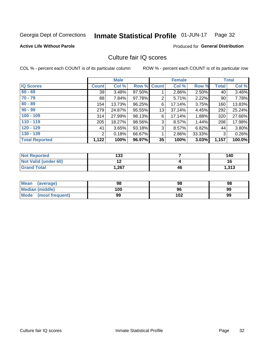#### Inmate Statistical Profile 01-JUN-17 Page 32

### **Active Life Without Parole**

### Produced for General Distribution

# Culture fair IQ scores

COL % - percent each COUNT is of its particular column

|                       | <b>Male</b>     |        | <b>Female</b>      |    |        | <b>Total</b> |              |        |
|-----------------------|-----------------|--------|--------------------|----|--------|--------------|--------------|--------|
| <b>IQ Scores</b>      | <b>Count</b>    | Col %  | <b>Row % Count</b> |    | Col %  | Row %        | <b>Total</b> | Col %  |
| $60 - 69$             | 39 <sub>1</sub> | 3.48%  | 97.50%             |    | 2.86%  | 2.50%        | 40           | 3.46%  |
| $70 - 79$             | 88              | 7.84%  | 97.78%             | 2  | 5.71%  | 2.22%        | 90           | 7.78%  |
| $80 - 89$             | 154             | 13.73% | 96.25%             | 6  | 17.14% | 3.75%        | 160          | 13.83% |
| $90 - 99$             | 279             | 24.87% | 95.55%             | 13 | 37.14% | 4.45%        | 292          | 25.24% |
| $100 - 109$           | 314             | 27.99% | 98.13%             | 6  | 17.14% | 1.88%        | 320          | 27.66% |
| $110 - 119$           | 205             | 18.27% | 98.56%             | 3  | 8.57%  | 1.44%        | 208          | 17.98% |
| $120 - 129$           | 41              | 3.65%  | 93.18%             | 3  | 8.57%  | 6.82%        | 44           | 3.80%  |
| $130 - 139$           | 2               | 0.18%  | 66.67%             | 1  | 2.86%  | 33.33%       | 3            | 0.26%  |
| <b>Total Reported</b> | 1,122           | 100%   | 96.97%             | 35 | 100%   | 3.03%        | 1,157        | 100.0% |

| <b>Not Reported</b>  | 133        |    | 140   |
|----------------------|------------|----|-------|
| Not Valid (under 60) | 4 M<br>. . |    | 16    |
| <b>Grand Total</b>   | .267       | 46 | 1,313 |

| <b>Mean</b><br>(average) | 98  | 98  | 98 |
|--------------------------|-----|-----|----|
| Median (middle)          | 100 | 96  | 99 |
| Mode (most frequent)     | 99  | 102 | 99 |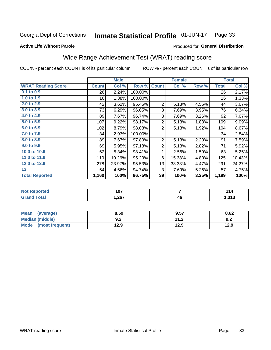#### **Inmate Statistical Profile 01-JUN-17** Page 33

Produced for General Distribution

### **Active Life Without Parole**

# Wide Range Achievement Test (WRAT) reading score

COL % - percent each COUNT is of its particular column

|                           |              | <b>Male</b> |         |                | <b>Female</b> | <b>Total</b> |              |        |
|---------------------------|--------------|-------------|---------|----------------|---------------|--------------|--------------|--------|
| <b>WRAT Reading Score</b> | <b>Count</b> | Col %       | Row %   | <b>Count</b>   | Col %         | Row %        | <b>Total</b> | Col %  |
| 0.1 to 0.9                | 26           | 2.24%       | 100.00% |                |               |              | 26           | 2.17%  |
| 1.0 to 1.9                | 16           | 1.38%       | 100.00% |                |               |              | 16           | 1.33%  |
| 2.0 to 2.9                | 42           | 3.62%       | 95.45%  | $\overline{2}$ | 5.13%         | 4.55%        | 44           | 3.67%  |
| 3.0 to 3.9                | 73           | 6.29%       | 96.05%  | 3              | 7.69%         | 3.95%        | 76           | 6.34%  |
| 4.0 to 4.9                | 89           | 7.67%       | 96.74%  | 3              | 7.69%         | 3.26%        | 92           | 7.67%  |
| 5.0 to 5.9                | 107          | 9.22%       | 98.17%  | $\overline{2}$ | 5.13%         | 1.83%        | 109          | 9.09%  |
| 6.0 to 6.9                | 102          | 8.79%       | 98.08%  | $\overline{2}$ | 5.13%         | 1.92%        | 104          | 8.67%  |
| 7.0 to 7.9                | 34           | 2.93%       | 100.00% |                |               |              | 34           | 2.84%  |
| 8.0 to 8.9                | 89           | 7.67%       | 97.80%  | $\overline{2}$ | 5.13%         | 2.20%        | 91           | 7.59%  |
| 9.0 to 9.9                | 69           | 5.95%       | 97.18%  | $\overline{2}$ | 5.13%         | 2.82%        | 71           | 5.92%  |
| 10.0 to 10.9              | 62           | 5.34%       | 98.41%  | 1              | 2.56%         | 1.59%        | 63           | 5.25%  |
| 11.0 to 11.9              | 119          | 10.26%      | 95.20%  | 6              | 15.38%        | 4.80%        | 125          | 10.43% |
| 12.0 to 12.9              | 278          | 23.97%      | 95.53%  | 13             | 33.33%        | 4.47%        | 291          | 24.27% |
| 13                        | 54           | 4.66%       | 94.74%  | 3              | 7.69%         | 5.26%        | 57           | 4.75%  |
| <b>Total Reported</b>     | 1,160        | 100%        | 96.75%  | 39             | 100%          | 3.25%        | 1,199        | 100%   |

| <b>Not Reported</b> | 107   |    | 114             |
|---------------------|-------|----|-----------------|
| Total<br>Grand      | 1,267 | 46 | 242<br>د ر د, ا |

| <b>Mean</b><br>(average) | 8.59       | 9.57          | 8.62 |
|--------------------------|------------|---------------|------|
| Median (middle)          | ^ ^<br>9.Z | 11 2<br>. . Z | 9.2  |
| Mode (most frequent)     | 12.9       | 12.9          | 12.9 |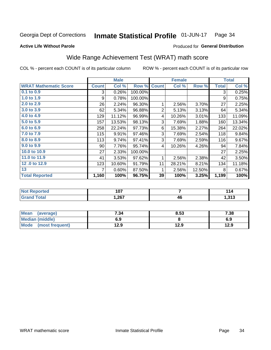#### Inmate Statistical Profile 01-JUN-17 Page 34

**Active Life Without Parole** 

# Produced for General Distribution

# Wide Range Achievement Test (WRAT) math score

COL % - percent each COUNT is of its particular column

|                              |              | <b>Male</b> |         | <b>Female</b>  |        |        | <b>Total</b> |        |
|------------------------------|--------------|-------------|---------|----------------|--------|--------|--------------|--------|
| <b>WRAT Mathematic Score</b> | <b>Count</b> | Col %       | Row %   | <b>Count</b>   | Col %  | Row %  | <b>Total</b> | Col %  |
| $0.1$ to $0.9$               | 3            | 0.26%       | 100.00% |                |        |        | 3            | 0.25%  |
| 1.0 to 1.9                   | 9            | 0.78%       | 100.00% |                |        |        | 9            | 0.75%  |
| 2.0 to 2.9                   | 26           | 2.24%       | 96.30%  | 1              | 2.56%  | 3.70%  | 27           | 2.25%  |
| 3.0 to 3.9                   | 62           | 5.34%       | 96.88%  | $\overline{2}$ | 5.13%  | 3.13%  | 64           | 5.34%  |
| 4.0 to 4.9                   | 129          | 11.12%      | 96.99%  | 4              | 10.26% | 3.01%  | 133          | 11.09% |
| 5.0 to 5.9                   | 157          | 13.53%      | 98.13%  | 3              | 7.69%  | 1.88%  | 160          | 13.34% |
| 6.0 to 6.9                   | 258          | 22.24%      | 97.73%  | 6              | 15.38% | 2.27%  | 264          | 22.02% |
| 7.0 to 7.9                   | 115          | 9.91%       | 97.46%  | 3              | 7.69%  | 2.54%  | 118          | 9.84%  |
| 8.0 to 8.9                   | 113          | 9.74%       | 97.41%  | 3              | 7.69%  | 2.59%  | 116          | 9.67%  |
| 9.0 to 9.9                   | 90           | 7.76%       | 95.74%  | 4              | 10.26% | 4.26%  | 94           | 7.84%  |
| 10.0 to 10.9                 | 27           | 2.33%       | 100.00% |                |        |        | 27           | 2.25%  |
| 11.0 to 11.9                 | 41           | 3.53%       | 97.62%  | 1              | 2.56%  | 2.38%  | 42           | 3.50%  |
| 12.0 to 12.9                 | 123          | 10.60%      | 91.79%  | 11             | 28.21% | 8.21%  | 134          | 11.18% |
| 13                           | 7            | 0.60%       | 87.50%  | 1              | 2.56%  | 12.50% | 8            | 0.67%  |
| <b>Total Reported</b>        | 1,160        | 100%        | 96.75%  | 39             | 100%   | 3.25%  | 1,199        | 100%   |
|                              |              |             |         |                |        |        |              |        |

| Reported<br><b>NO</b> t | 107  |    |                |
|-------------------------|------|----|----------------|
| 'ota.                   | ,267 | 46 | - 242<br>∕ I ⊌ |

| Mean (average)         | 7.34 | 8.53 | 7.38 |
|------------------------|------|------|------|
| <b>Median (middle)</b> | 6.9  |      | 6.9  |
| Mode (most frequent)   | 12.9 | 12.9 | 12.9 |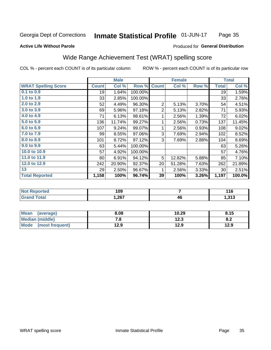#### Inmate Statistical Profile 01-JUN-17 Page 35

### **Active Life Without Parole**

### Produced for General Distribution

# Wide Range Achievement Test (WRAT) spelling score

COL % - percent each COUNT is of its particular column

| <b>WRAT Spelling Score</b><br>0.1 to 0.9 | <b>Count</b> |        | <b>Male</b> |                | <b>Female</b> |       |              | <b>Total</b>         |  |
|------------------------------------------|--------------|--------|-------------|----------------|---------------|-------|--------------|----------------------|--|
|                                          |              | Col %  | Row %       | <b>Count</b>   | Col %         | Row % | <b>Total</b> | Col %                |  |
|                                          | 19           | 1.64%  | 100.00%     |                |               |       | 19           | 1.59%                |  |
| 1.0 to 1.9                               | 33           | 2.85%  | 100.00%     |                |               |       | 33           | 2.76%                |  |
| 2.0 to 2.9                               | 52           | 4.49%  | 96.30%      | 2              | 5.13%         | 3.70% | 54           | 4.51%                |  |
| 3.0 to 3.9                               | 69           | 5.96%  | 97.18%      | $\overline{2}$ | 5.13%         | 2.82% | 71           | 5.93%                |  |
| 4.0 to 4.9                               | 71           | 6.13%  | 98.61%      | 1              | 2.56%         | 1.39% | 72           | 6.02%                |  |
| 5.0 to 5.9                               | 136          | 11.74% | 99.27%      | 1              | 2.56%         | 0.73% | 137          | 11.45%               |  |
| 6.0 to 6.9                               | 107          | 9.24%  | 99.07%      | 1              | 2.56%         | 0.93% | 108          | 9.02%                |  |
| 7.0 to 7.9                               | 99           | 8.55%  | 97.06%      | 3              | 7.69%         | 2.94% | 102          | 8.52%                |  |
| 8.0 to 8.9                               | 101          | 8.72%  | 97.12%      | 3              | 7.69%         | 2.88% | 104          | 8.69%                |  |
| 9.0 to 9.9                               | 63           | 5.44%  | 100.00%     |                |               |       | 63           | 5.26%                |  |
| 10.0 to 10.9                             | 57           | 4.92%  | 100.00%     |                |               |       | 57           | 4.76%                |  |
| 11.0 to 11.9                             | 80           | 6.91%  | 94.12%      | 5              | 12.82%        | 5.88% | 85           | 7.10%                |  |
| 12.0 to 12.9                             | 242          | 20.90% | 92.37%      | 20             | 51.28%        | 7.63% | 262          | 21.89%               |  |
| 13                                       | 29           | 2.50%  | 96.67%      | 1              | 2.56%         | 3.33% | 30           | 2.51%                |  |
| <b>Total Reported</b>                    | 1,158        | 100%   | 96.74%      | 39             | 100%          | 3.26% | 1,197        | $\overline{100.0\%}$ |  |

| <b>Not Reported</b> | 109   |    | 116         |
|---------------------|-------|----|-------------|
| <b>Total</b>        | 1,267 | 46 | 242<br>נונו |

| <b>Mean</b><br>(average) | 8.08 | 10.29 | 8.15 |
|--------------------------|------|-------|------|
| Median (middle)          | . 0. | 12.3  | 0.Z  |
| Mode<br>(most frequent)  | 12.9 | 12.9  | 12.9 |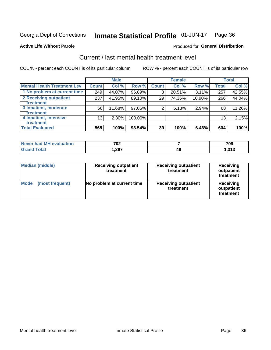#### Inmate Statistical Profile 01-JUN-17 Page 36

### **Active Life Without Parole**

### Produced for General Distribution

# Current / last mental health treatment level

COL % - percent each COUNT is of its particular column

|                                    |              | <b>Male</b> |         |              | <b>Female</b> |        |                 | <b>Total</b> |
|------------------------------------|--------------|-------------|---------|--------------|---------------|--------|-----------------|--------------|
| <b>Mental Health Treatment Lev</b> | <b>Count</b> | Col %       | Row %   | <b>Count</b> | Col%          | Row %  | <b>Total</b>    | Col %        |
| 1 No problem at current time       | 249          | 44.07%      | 96.89%  | 8            | 20.51%        | 3.11%  | 257             | 42.55%       |
| 2 Receiving outpatient             | 237          | 41.95%      | 89.10%  | 29           | 74.36%        | 10.90% | 266             | 44.04%       |
| <b>Treatment</b>                   |              |             |         |              |               |        |                 |              |
| 3 Inpatient, moderate              | 66           | 11.68%      | 97.06%  | 2            | 5.13%         | 2.94%  | 68              | 11.26%       |
| <b>Treatment</b>                   |              |             |         |              |               |        |                 |              |
| 4 Inpatient, intensive             | 13           | $2.30\%$    | 100.00% |              |               |        | 13 <sub>1</sub> | 2.15%        |
| <b>Treatment</b>                   |              |             |         |              |               |        |                 |              |
| <b>Total Evaluated</b>             | 565          | 100%        | 93.54%  | 39           | 100%          | 6.46%  | 604             | 100%         |

| Never had MH evaluation | 702   |    | 709           |
|-------------------------|-------|----|---------------|
| Total                   | 1,267 | 46 | 242<br>د ۱ د. |

| <b>Median (middle)</b>         | <b>Receiving outpatient</b><br>treatment | <b>Receiving outpatient</b><br>treatment | <b>Receiving</b><br>outpatient<br>treatment |  |  |
|--------------------------------|------------------------------------------|------------------------------------------|---------------------------------------------|--|--|
| <b>Mode</b><br>(most frequent) | No problem at current time               | <b>Receiving outpatient</b><br>treatment | Receiving<br>outpatient<br>treatment        |  |  |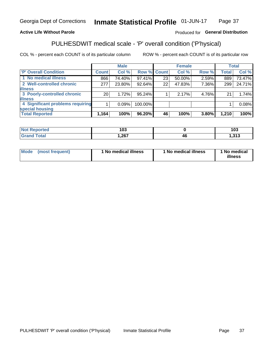#### Inmate Statistical Profile 01-JUN-17 Page 37

# **Active Life Without Parole**

# Produced for General Distribution

# PULHESDWIT medical scale - 'P' overall condition ('P'hysical)

COL % - percent each COUNT is of its particular column

|                                  | <b>Male</b> |    |                                                                |       |               | <b>Total</b>            |
|----------------------------------|-------------|----|----------------------------------------------------------------|-------|---------------|-------------------------|
| <b>Count</b>                     | Col %       |    | Col %                                                          |       | <b>Total</b>  | Col %                   |
| 866                              | 74.40%      | 23 | 50.00%                                                         |       | 889           | 73.47%                  |
| 277                              | 23.80%      | 22 | 47.83%                                                         | 7.36% | 299           | 24.71%                  |
|                                  |             |    |                                                                |       |               |                         |
| 20 <sub>1</sub>                  | 1.72%       |    | 2.17%                                                          |       | 21            | 1.74%                   |
|                                  |             |    |                                                                |       |               |                         |
| 4 Significant problems requiring | 0.09%       |    |                                                                |       |               | 0.08%                   |
|                                  |             |    |                                                                |       |               |                         |
| 1,164                            | 100%        | 46 | 100%                                                           | 3.80% | 1,210         | 100%                    |
|                                  |             |    | Row % Count<br>97.41%<br>92.64%<br>95.24%<br>100.00%<br>96.20% |       | <b>Female</b> | Row %<br>2.59%<br>4.76% |

|        | $\overline{\phantom{a}}$<br>ı vu |    | ៱៱៱<br>טעו   |
|--------|----------------------------------|----|--------------|
| ______ | .22<br>,∠0 i                     | 4t | 245<br>ں رہی |

| <b>Mode</b> | (most frequent) | 1 No medical illness | 1 No medical illness | 1 No medical<br>illness |
|-------------|-----------------|----------------------|----------------------|-------------------------|
|-------------|-----------------|----------------------|----------------------|-------------------------|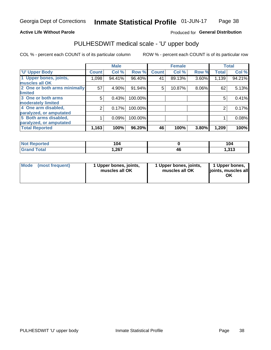### **Active Life Without Parole**

# Produced for General Distribution

# PULHESDWIT medical scale - 'U' upper body

COL % - percent each COUNT is of its particular column

|                              |               | <b>Male</b> |         |              | <b>Female</b> |       |              | <b>Total</b> |
|------------------------------|---------------|-------------|---------|--------------|---------------|-------|--------------|--------------|
| <b>U' Upper Body</b>         | <b>Count!</b> | Col %       | Row %   | <b>Count</b> | Col %         | Row % | <b>Total</b> | Col %        |
| 1 Upper bones, joints,       | 1,098         | 94.41%      | 96.40%  | 41           | 89.13%        | 3.60% | 1,139        | 94.21%       |
| muscles all OK               |               |             |         |              |               |       |              |              |
| 2 One or both arms minimally | 57            | 4.90%       | 91.94%  | 5            | 10.87%        | 8.06% | 62           | 5.13%        |
| limited                      |               |             |         |              |               |       |              |              |
| 3 One or both arms           | 5             | 0.43%       | 100.00% |              |               |       | 5            | 0.41%        |
| <b>moderately limited</b>    |               |             |         |              |               |       |              |              |
| 4 One arm disabled,          | 2             | 0.17%       | 100.00% |              |               |       | 2            | 0.17%        |
| paralyzed, or amputated      |               |             |         |              |               |       |              |              |
| 5 Both arms disabled,        |               | 0.09%       | 100.00% |              |               |       |              | 0.08%        |
| paralyzed, or amputated      |               |             |         |              |               |       |              |              |
| <b>Total Reported</b>        | 1,163         | 100%        | 96.20%  | 46           | 100%          | 3.80% | 1,209        | 100%         |

| <b>Not Reported</b> | 104   |    | 104            |
|---------------------|-------|----|----------------|
| <b>Grand Total</b>  | 1,267 | 4t | 242<br>51 ق. 1 |

| Mode<br>(most frequent) | 1 Upper bones, joints,<br>muscles all OK | 1 Upper bones, joints,<br>muscles all OK | 1 Upper bones,<br>joints, muscles all<br>ΟK |
|-------------------------|------------------------------------------|------------------------------------------|---------------------------------------------|
|-------------------------|------------------------------------------|------------------------------------------|---------------------------------------------|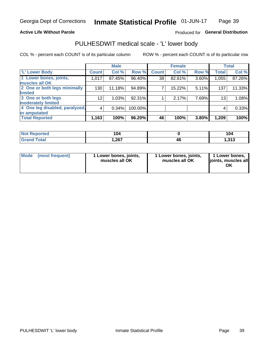# **Active Life Without Parole**

# Produced for General Distribution

# PULHESDWIT medical scale - 'L' lower body

COL % - percent each COUNT is of its particular column

|                                     | <b>Male</b> |              | <b>Female</b>                                            |       |                                  | <b>Total</b> |
|-------------------------------------|-------------|--------------|----------------------------------------------------------|-------|----------------------------------|--------------|
| <b>Count</b>                        | Col %       | <b>Count</b> | Col %                                                    |       | <b>Total</b>                     | Col %        |
| 1,017                               | 87.45%      | 38           | 82.61%                                                   |       | 1,055                            | 87.26%       |
|                                     |             |              |                                                          |       |                                  |              |
| 130                                 | 11.18%      | 7            | 15.22%                                                   |       | 137                              | 11.33%       |
|                                     |             |              |                                                          |       |                                  |              |
| 12 <sub>2</sub>                     | 1.03%       |              | 2.17%                                                    |       | 13                               | 1.08%        |
|                                     |             |              |                                                          |       |                                  |              |
| 4 One leg disabled, paralyzed,<br>4 | 0.34%       |              |                                                          |       | 4                                | 0.33%        |
|                                     |             |              |                                                          |       |                                  |              |
| 1,163                               | 100%        | 46           | 100%                                                     | 3.80% | 1,209                            | 100%         |
|                                     |             |              | Row %<br>96.40%<br>94.89%<br>92.31%<br>100.00%<br>96.20% |       | Row %<br>3.60%<br>5.11%<br>7.69% |              |

| <b>Not Reported</b> | 104  |    |                  |
|---------------------|------|----|------------------|
| <b>Total</b>        | .267 | тч | .242<br>د ۱ د. ا |

| Mode | (most frequent) | 1 Lower bones, joints,<br>muscles all OK | 1 Lower bones, joints,<br>muscles all OK | 1 Lower bones,<br>ljoints, muscles all<br>ΟK |
|------|-----------------|------------------------------------------|------------------------------------------|----------------------------------------------|
|------|-----------------|------------------------------------------|------------------------------------------|----------------------------------------------|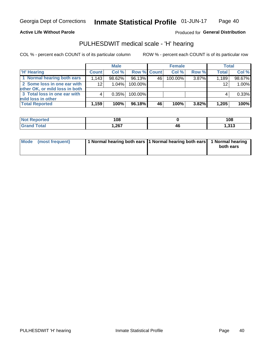### **Active Life Without Parole**

## Produced for General Distribution

# PULHESDWIT medical scale - 'H' hearing

COL % - percent each COUNT is of its particular column

|                                                               |              | <b>Male</b> |             |    | <b>Female</b> |          | <b>Total</b> |        |
|---------------------------------------------------------------|--------------|-------------|-------------|----|---------------|----------|--------------|--------|
| <b>H' Hearing</b>                                             | <b>Count</b> | Col %       | Row % Count |    | Col%          | Row %    | <b>Total</b> | Col %  |
| 1 Normal hearing both ears                                    | 1,143        | 98.62%      | 96.13%      | 46 | 100.00%       | 3.87%    | 1,189        | 98.67% |
| 2 Some loss in one ear with<br>other OK, or mild loss in both | 12           | 1.04%       | 100.00%     |    |               |          | 12           | 1.00%  |
| 3 Total loss in one ear with                                  | 4            | 0.35%       | 100.00%     |    |               |          | 4            | 0.33%  |
| mild loss in other<br><b>Total Reported</b>                   | 1,159        | 100%        | 96.18%      | 46 | 100%          | $3.82\%$ | 1,205        | 100%   |

| <b>orted</b> | 108                   |    | 108           |
|--------------|-----------------------|----|---------------|
| int          | <b>1267</b><br>072, ا | 46 | 242<br>טוט, ו |

| Mode (most frequent) | 1 Normal hearing both ears 1 Normal hearing both ears 1 Normal hearing |           |
|----------------------|------------------------------------------------------------------------|-----------|
|                      |                                                                        | both ears |
|                      |                                                                        |           |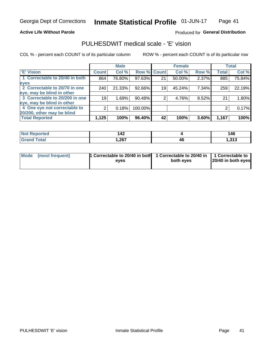### **Active Life Without Parole**

# Produced for General Distribution

# PULHESDWIT medical scale - 'E' vision

COL % - percent each COUNT is of its particular column

|                                |                    | <b>Male</b> |             |    | <b>Female</b> |       |              | <b>Total</b> |
|--------------------------------|--------------------|-------------|-------------|----|---------------|-------|--------------|--------------|
| <b>E' Vision</b>               | Count <sup>'</sup> | Col %       | Row % Count |    | Col %         | Row % | <b>Total</b> | Col %        |
| 1 Correctable to 20/40 in both | 864                | 76.80%      | 97.63%      | 21 | 50.00%        | 2.37% | 885          | 75.84%       |
| eyes                           |                    |             |             |    |               |       |              |              |
| 2 Correctable to 20/70 in one  | 240                | 21.33%      | 92.66%      | 19 | 45.24%        | 7.34% | 259          | 22.19%       |
| eye, may be blind in other     |                    |             |             |    |               |       |              |              |
| 3 Correctable to 20/200 in one | 19                 | 1.69%       | 90.48%      |    | 4.76%         | 9.52% | 21           | 1.80%        |
| eye, may be blind in other     |                    |             |             |    |               |       |              |              |
| 4 One eye not correctable to   |                    | 0.18%       | 100.00%     |    |               |       |              | 0.17%        |
| 20/200, other may be blind     |                    |             |             |    |               |       |              |              |
| <b>Total Reported</b>          | 1,125              | 100%        | 96.40%      | 42 | 100%          | 3.60% | 1,167        | 100%         |

| <b>Not Reported</b>   | $\Lambda$ 2<br>- - |    | 146        |
|-----------------------|--------------------|----|------------|
| <b>Total</b><br>oranu | 1,267              | 46 | - 242<br>. |

| Mode (most frequent) | 1 Correctable to 20/40 in both<br>eves | 1 Correctable to 20/40 in   1 Correctable to<br>both eves | 20/40 in both eyes |
|----------------------|----------------------------------------|-----------------------------------------------------------|--------------------|
|                      |                                        |                                                           |                    |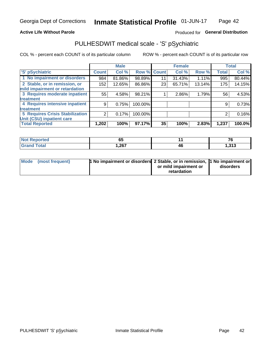## **Active Life Without Parole**

# Produced for General Distribution

# PULHESDWIT medical scale - 'S' pSychiatric

COL % - percent each COUNT is of its particular column

|                                 |              | <b>Male</b> |         |             | <b>Female</b> |        |              | <b>Total</b> |
|---------------------------------|--------------|-------------|---------|-------------|---------------|--------|--------------|--------------|
| 'S' pSychiatric                 | <b>Count</b> | Col %       |         | Row % Count | Col %         | Row %  | <b>Total</b> | Col %        |
| 1 No impairment or disorders    | 984          | 81.86%      | 98.89%  | 11          | 31.43%        | 1.11%  | 995          | 80.44%       |
| 2 Stable, or in remission, or   | 152          | 12.65%      | 86.86%  | 23          | 65.71%        | 13.14% | 175          | 14.15%       |
| mild impairment or retardation  |              |             |         |             |               |        |              |              |
| 3 Requires moderate inpatient   | 55           | 4.58%       | 98.21%  |             | 2.86%         | 1.79%  | 56           | 4.53%        |
| treatment                       |              |             |         |             |               |        |              |              |
| 4 Requires intensive inpatient  | 9            | 0.75%       | 100.00% |             |               |        | 9            | 0.73%        |
| <b>treatment</b>                |              |             |         |             |               |        |              |              |
| 5 Requires Crisis Stabilization | 2            | 0.17%       | 100.00% |             |               |        | 2            | 0.16%        |
| Unit (CSU) inpatient care       |              |             |         |             |               |        |              |              |
| <b>Total Reported</b>           | 1,202        | 100%        | 97.17%  | 35          | 100%          | 2.83%  | 1,237        | 100.0%       |

| <b>Enorted</b><br><b>NOT</b><br>Renor | 65   |    | --             |
|---------------------------------------|------|----|----------------|
| <b>Total</b>                          | ,267 | 46 | - 242<br>1,919 |

| Mode (most frequent) | <b>1 No impairment or disorders 2 Stable, or in remission, 1 No impairment or</b> |                       |           |
|----------------------|-----------------------------------------------------------------------------------|-----------------------|-----------|
|                      |                                                                                   | or mild impairment or | disorders |
|                      |                                                                                   | retardation           |           |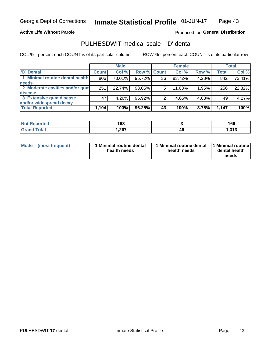### **Active Life Without Parole**

# Produced for General Distribution

# PULHESDWIT medical scale - 'D' dental

COL % - percent each COUNT is of its particular column

|                                 |              | <b>Male</b> |                    |    | <b>Female</b> |       |              | Total  |
|---------------------------------|--------------|-------------|--------------------|----|---------------|-------|--------------|--------|
| 'D' Dental                      | <b>Count</b> | Col %       | <b>Row % Count</b> |    | Col %         | Row % | <b>Total</b> | Col %  |
| 1 Minimal routine dental health | 806          | 73.01%      | 95.72%             | 36 | 83.72%        | 4.28% | 842          | 73.41% |
| <b>needs</b>                    |              |             |                    |    |               |       |              |        |
| 2 Moderate cavities and/or gum  | 251          | 22.74%      | 98.05%             | 5  | 11.63%        | 1.95% | 256          | 22.32% |
| disease                         |              |             |                    |    |               |       |              |        |
| 3 Extensive gum disease         | 47           | 4.26%       | 95.92%             |    | 4.65%         | 4.08% | 49           | 4.27%  |
| and/or widespread decay         |              |             |                    |    |               |       |              |        |
| <b>Total Reported</b>           | 1,104        | 100%        | 96.25%             | 43 | 100%          | 3.75% | 1.147        | 100%   |

| prtea<br>. | 163   |    | 166          |
|------------|-------|----|--------------|
| 'ota       | .,267 | 46 | 242<br>ں رہی |

| <b>Mode</b><br>(most frequent) | <b>Minimal routine dental</b><br>health needs | 1 Minimal routine dental<br>health needs | 1 Minimal routine<br>dental health<br>needs |
|--------------------------------|-----------------------------------------------|------------------------------------------|---------------------------------------------|
|--------------------------------|-----------------------------------------------|------------------------------------------|---------------------------------------------|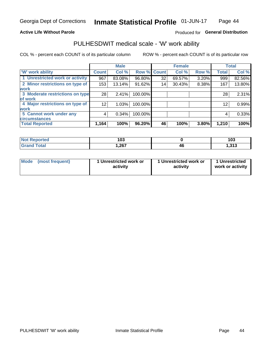### **Active Life Without Parole**

# Produced for General Distribution

# PULHESDWIT medical scale - 'W' work ability

COL % - percent each COUNT is of its particular column

|                                 |                 | <b>Male</b> |         |             | <b>Female</b> |       |              | <b>Total</b> |
|---------------------------------|-----------------|-------------|---------|-------------|---------------|-------|--------------|--------------|
| <b>W' work ability</b>          | <b>Count</b>    | Col %       |         | Row % Count | Col %         | Row % | <b>Total</b> | Col %        |
| 1 Unrestricted work or activity | 967             | 83.08%      | 96.80%  | 32          | 69.57%        | 3.20% | 999          | 82.56%       |
| 2 Minor restrictions on type of | 153             | 13.14%      | 91.62%  | 14          | 30.43%        | 8.38% | 167          | 13.80%       |
| <b>work</b>                     |                 |             |         |             |               |       |              |              |
| 3 Moderate restrictions on type | 28              | 2.41%       | 100.00% |             |               |       | 28           | 2.31%        |
| lof work                        |                 |             |         |             |               |       |              |              |
| 4 Major restrictions on type of | 12 <sup>2</sup> | 1.03%       | 100.00% |             |               |       | 12           | 0.99%        |
| <b>work</b>                     |                 |             |         |             |               |       |              |              |
| 5 Cannot work under any         | 4               | 0.34%       | 100.00% |             |               |       | 4            | 0.33%        |
| <b>circumstances</b>            |                 |             |         |             |               |       |              |              |
| <b>Total Reported</b>           | 1,164           | 100%        | 96.20%  | 46          | 100%          | 3.80% | 1,210        | 100%         |

| <b>Not Reported</b>  | 103   |    | 103         |
|----------------------|-------|----|-------------|
| <b>Total</b><br>Cron | 1,267 | 46 | 242<br>נונו |

| Mode            | 1 Unrestricted work or | 1 Unrestricted work or | 1 Unrestricted   |
|-----------------|------------------------|------------------------|------------------|
| (most frequent) | activity               | activity               | work or activity |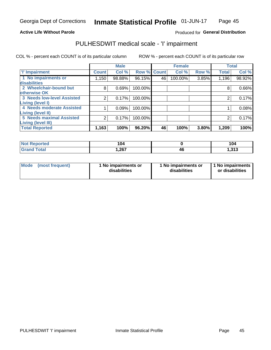# **Active Life Without Parole**

# Produced for General Distribution

# PULHESDWIT medical scale - 'I' impairment

COL % - percent each COUNT is of its particular column ROW % - percent each COUNT is of its particular row

|                                                              |              | <b>Male</b> |                    |    | <b>Female</b> |       |              | <b>Total</b> |
|--------------------------------------------------------------|--------------|-------------|--------------------|----|---------------|-------|--------------|--------------|
| <b>T' Impairment</b>                                         | <b>Count</b> | Col %       | <b>Row % Count</b> |    | Col %         | Row % | <b>Total</b> | Col %        |
| 1 No impairments or<br>disabilities                          | 1,150        | 98.88%      | 96.15%             | 46 | 100.00%       | 3.85% | 1,196        | 98.92%       |
| 2 Wheelchair-bound but                                       | 8            | 0.69%       | 100.00%            |    |               |       | 8            | 0.66%        |
| otherwise OK<br><b>3 Needs low-level Assisted</b>            | 2            | 0.17%       | 100.00%            |    |               |       |              | 0.17%        |
| Living (level I)<br>4 Needs moderate Assisted                |              | 0.09%       | 100.00%            |    |               |       |              | 0.08%        |
| <b>Living (level II)</b>                                     |              |             |                    |    |               |       |              |              |
| <b>5 Needs maximal Assisted</b><br><b>Living (level III)</b> | 2            | 0.17%       | 100.00%            |    |               |       |              | 0.17%        |
| <b>Total Reported</b>                                        | 1,163        | 100%        | 96.20%             | 46 | 100%          | 3.80% | 1,209        | 100%         |

| orted       | 104  |    | 104               |
|-------------|------|----|-------------------|
| <b>otal</b> | ,267 | ŀб | - 242<br>د ۱ د. ۱ |

| Mode | (most frequent) | 1 No impairments or<br>disabilities | 1 No impairments or<br>disabilities | 1 No impairments<br>or disabilities |
|------|-----------------|-------------------------------------|-------------------------------------|-------------------------------------|
|------|-----------------|-------------------------------------|-------------------------------------|-------------------------------------|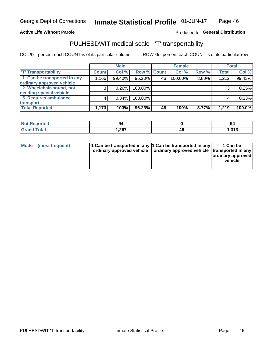## **Active Life Without Parole**

### Produced fo General Distribution

# PULHESDWIT medical scale - 'T' transportability

COL % - percent each COUNT is of its particular column

|                             |              | <b>Male</b> |             |    | <b>Female</b> |       |              | <b>Total</b> |
|-----------------------------|--------------|-------------|-------------|----|---------------|-------|--------------|--------------|
| <b>T' Transportability</b>  | <b>Count</b> | Col %       | Row % Count |    | Col %         | Row % | <b>Total</b> | Col %        |
| 1 Can be transported in any | .166         | 99.40%      | 96.20%      | 46 | 100.00%       | 3.80% | 1,212        | 99.43%       |
| ordinary approved vehicle   |              |             |             |    |               |       |              |              |
| 2 Wheelchair-bound, not     |              | 0.26%       | 100.00%     |    |               |       |              | 0.25%        |
| needing special vehicle     |              |             |             |    |               |       |              |              |
| 5 Requires ambulance        |              | 0.34%       | 100.00%     |    |               |       |              | 0.33%        |
| transport                   |              |             |             |    |               |       |              |              |
| <b>Total Reported</b>       | 1,173        | 100%        | 96.23%      | 46 | 100%          | 3.77% | 1,219        | 100.0%       |

| m.<br>meo | ນ∸    |    | 94          |
|-----------|-------|----|-------------|
|           | 1,267 | 17 | 242<br>נונו |

| Mode (most frequent) | 1 Can be transported in any 1 Can be transported in any | ordinary approved vehicle   ordinary approved vehicle   transported in any | 1 Can be<br>ordinary approved<br>vehicle |
|----------------------|---------------------------------------------------------|----------------------------------------------------------------------------|------------------------------------------|
|                      |                                                         |                                                                            |                                          |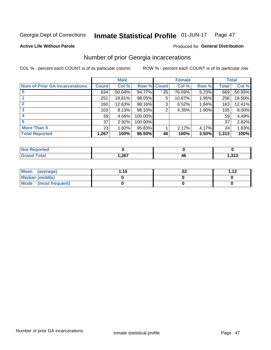#### Inmate Statistical Profile 01-JUN-17 Page 47

### **Active Life Without Parole**

# Produced for General Distribution

# Number of prior Georgia incarcerations

COL % - percent each COUNT is of its particular column

|                                       |              | <b>Male</b> |                    |    | <b>Female</b> |       |       | <b>Total</b> |
|---------------------------------------|--------------|-------------|--------------------|----|---------------|-------|-------|--------------|
| <b>Num of Prior GA Incarcerations</b> | <b>Count</b> | Col %       | <b>Row % Count</b> |    | Col %         | Row % | Total | Col %        |
|                                       | 634          | 50.04%      | 94.77%             | 35 | 76.09%        | 5.23% | 669   | 50.95%       |
|                                       | 251          | 19.81%      | 98.05%             | 5  | 10.87%        | 1.95% | 256   | 19.50%       |
|                                       | 160          | 12.63%      | 98.16%             | 3  | 6.52%         | 1.84% | 163   | 12.41%       |
| 3                                     | 103          | 8.13%       | 98.10%             | 2  | 4.35%         | 1.90% | 105   | 8.00%        |
|                                       | 59           | 4.66%       | 100.00%            |    |               |       | 59    | 4.49%        |
| 5                                     | 37           | 2.92%       | 100.00%            |    |               |       | 37    | 2.82%        |
| <b>More Than 5</b>                    | 23           | 1.82%       | 95.83%             |    | 2.17%         | 4.17% | 24    | 1.83%        |
| <b>Total Reported</b>                 | 1,267        | 100%        | 96.50%             | 46 | 100%          | 3.50% | 1,313 | 100%         |

| orted            |         |      |         |
|------------------|---------|------|---------|
| <b>otal</b>      | 267     | /I F | .       |
| $\mathbf{v}$ and | 1,407 L | --   | <b></b> |

| Mean (average)       | 1.15 | .JZ | 112 |
|----------------------|------|-----|-----|
| Median (middle)      |      |     |     |
| Mode (most frequent) |      |     |     |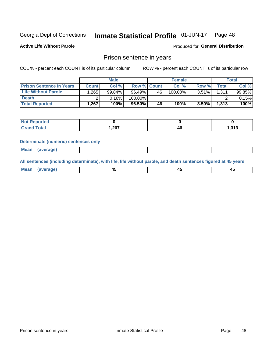#### Inmate Statistical Profile 01-JUN-17 Page 48

**Active Life Without Parole** 

Produced for General Distribution

# Prison sentence in years

COL % - percent each COUNT is of its particular column

ROW % - percent each COUNT is of its particular row

|                                 |         | <b>Male</b> |                    |    | <b>Female</b> |          |       | Total  |
|---------------------------------|---------|-------------|--------------------|----|---------------|----------|-------|--------|
| <b>Prison Sentence In Years</b> | Count l | Col %       | <b>Row % Count</b> |    | Col %         | Row %    | Total | Col %  |
| <b>Life Without Parole</b>      | .265    | 99.84%      | 96.49%             | 46 | $100.00\%$    | $3.51\%$ | 1,311 | 99.85% |
| <b>Death</b>                    |         | 0.16%       | 100.00%            |    |               |          |       | 0.15%  |
| <b>Total Reported</b>           | 1.267   | 100%        | 96.50%             | 46 | 100%          | $3.50\%$ | 1,313 | 100%   |

| τeα  |      |                |                 |
|------|------|----------------|-----------------|
| otal | ,267 | <i>n</i><br>-- | 242<br>د ۱ د. ا |

### **Determinate (numeric) sentences only**

| ' Mea<br><b>Service</b> A<br>ЯМА. |  |  |  |
|-----------------------------------|--|--|--|
|                                   |  |  |  |

All sentences (including determinate), with life, life without parole, and death sentences figured at 45 years

| l Mea<br>'ЯМА<br>.<br> | ᠇<br>$\sim$ | $\sim$ |  |
|------------------------|-------------|--------|--|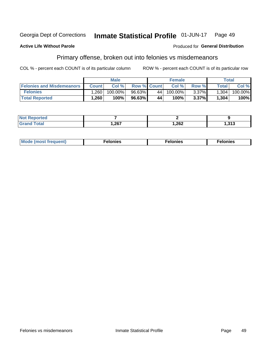#### Inmate Statistical Profile 01-JUN-17 Georgia Dept of Corrections Page 49

### **Active Life Without Parole**

### Produced for General Distribution

# Primary offense, broken out into felonies vs misdemeanors

COL % - percent each COUNT is of its particular column

|                                  |              | <b>Male</b> |                    |    | <b>Female</b> |          |                    | Total   |
|----------------------------------|--------------|-------------|--------------------|----|---------------|----------|--------------------|---------|
| <b>Felonies and Misdemeanors</b> | <b>Count</b> | Col%        | <b>Row % Count</b> |    | Col%          | Row %    | Total <sub>1</sub> | Col %   |
| <b>Felonies</b>                  | .260         | 100.00%     | 96.63%             | 44 | 100.00%       | $3.37\%$ | 1,304              | 100.00% |
| <b>Total Reported</b>            | .260         | $100\%$     | 96.63%             | 44 | 100%          | 3.37%    | 1,304              | 100%    |

| <b>Not Reported</b>                  |      |        |                 |
|--------------------------------------|------|--------|-----------------|
| <b>Total</b><br>Gran<br><b>UIUIU</b> | 267, | 262, ا | 242<br>د ۱ د. ا |

| $Mc$<br>equent)<br>нез<br>$\sim$<br>. | onies<br>. | <b>onies</b><br>. |
|---------------------------------------|------------|-------------------|
|---------------------------------------|------------|-------------------|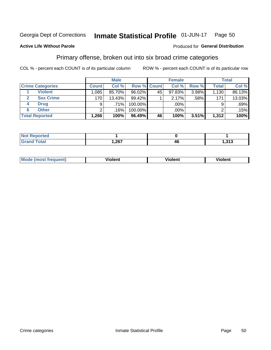#### **Inmate Statistical Profile 01-JUN-17** Page 50

### **Active Life Without Parole**

### Produced for General Distribution

# Primary offense, broken out into six broad crime categories

COL % - percent each COUNT is of its particular column

|                         |                  | <b>Male</b> |           |             | <b>Female</b> |       |              | Total   |
|-------------------------|------------------|-------------|-----------|-------------|---------------|-------|--------------|---------|
| <b>Crime Categories</b> | <b>Count</b>     | Col %       |           | Row % Count | Col %         | Row % | <b>Total</b> | Col %   |
| <b>Violent</b>          | 1,085            | 85.70%      | 96.02%    | 45          | 97.83%        | 3.98% | 1,130        | 86.13%  |
| <b>Sex Crime</b>        | 170 <sub>1</sub> | 13.43%      | $99.42\%$ |             | 2.17%         | .58%  | 171          | 13.03%  |
| <b>Drug</b><br>4        | 9                | $.71\%$     | 100.00%   |             | .00%          |       |              | $.69\%$ |
| <b>Other</b><br>6       | ⌒                | .16%        | 100.00%   |             | .00%          |       |              | .15%    |
| <b>Total Reported</b>   | 1,266            | 100%        | 96.49%    | 46          | 100%          | 3.51% | 1,312        | 100%    |

| ______ | 202<br>,_v, | -46 | 242<br>د ۱ د. |  |
|--------|-------------|-----|---------------|--|

| <b>Mode (most frequent)</b> |         |                | --             |
|-----------------------------|---------|----------------|----------------|
|                             | violent | <b>Violent</b> | <b>Violent</b> |
|                             |         |                |                |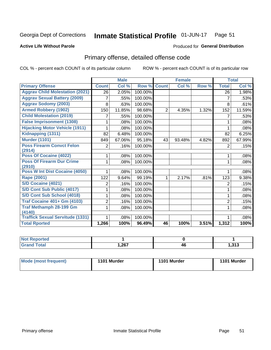#### Inmate Statistical Profile 01-JUN-17 Page 51

### **Active Life Without Parole**

### Produced for General Distribution

# Primary offense, detailed offense code

COL % - percent each COUNT is of its particular column

|                                            |                | <b>Male</b> |         |                | <b>Female</b> |       |                | <b>Total</b> |
|--------------------------------------------|----------------|-------------|---------|----------------|---------------|-------|----------------|--------------|
| <b>Primary Offense</b>                     | <b>Count</b>   | Col %       | Row %   | <b>Count</b>   | Col %         | Row % | <b>Total</b>   | Col %        |
| <b>Aggrav Child Molestation (2021)</b>     | 26             | 2.05%       | 100.00% |                |               |       | 26             | 1.98%        |
| <b>Aggrav Sexual Battery (2009)</b>        | 7              | .55%        | 100.00% |                |               |       | 7              | .53%         |
| <b>Aggrav Sodomy (2003)</b>                | 8              | .63%        | 100.00% |                |               |       | 8              | .61%         |
| <b>Armed Robbery (1902)</b>                | 150            | 11.85%      | 98.68%  | $\overline{2}$ | 4.35%         | 1.32% | 152            | 11.59%       |
| <b>Child Molestation (2019)</b>            |                | .55%        | 100.00% |                |               |       | 7              | .53%         |
| <b>False Imprisonment (1308)</b>           |                | .08%        | 100.00% |                |               |       | 1              | .08%         |
| <b>Hijacking Motor Vehicle (1911)</b>      |                | .08%        | 100.00% |                |               |       |                | .08%         |
| Kidnapping (1311)                          | 82             | 6.48%       | 100.00% |                |               |       | 82             | 6.25%        |
| <b>Murder (1101)</b>                       | 849            | 67.06%      | 95.18%  | 43             | 93.48%        | 4.82% | 892            | 67.99%       |
| <b>Poss Firearm Convct Felon</b>           | $\overline{2}$ | .16%        | 100.00% |                |               |       | 2              | .15%         |
| (2914)                                     |                |             |         |                |               |       |                |              |
| Poss Of Cocaine (4022)                     |                | .08%        | 100.00% |                |               |       | 1              | .08%         |
| <b>Poss Of Firearm Dur Crime</b><br>(2910) | 1              | .08%        | 100.00% |                |               |       | 1              | .08%         |
| <b>Poss W Int Dist Cocaine (4050)</b>      |                | .08%        | 100.00% |                |               |       |                | .08%         |
| <b>Rape (2001)</b>                         | 122            | 9.64%       | 99.19%  | 1              | 2.17%         | .81%  | 123            | 9.38%        |
| <b>S/D Cocaine (4021)</b>                  | 2              | .16%        | 100.00% |                |               |       | $\overline{2}$ | .15%         |
| S/D Cont Sub Public (4017)                 |                | .08%        | 100.00% |                |               |       | 1              | .08%         |
| S/D Cont Sub School (4018)                 |                | .08%        | 100.00% |                |               |       | 1              | .08%         |
| <b>Traf Cocaine 401+ Gm (4103)</b>         | $\overline{2}$ | .16%        | 100.00% |                |               |       | 2              | .15%         |
| <b>Traf Methamph 28-199 Gm</b>             | 1              | .08%        | 100.00% |                |               |       | 1              | .08%         |
| (4140)                                     |                |             |         |                |               |       |                |              |
| <b>Traffick Sexual Servitude (1331)</b>    |                | .08%        | 100.00% |                |               |       |                | .08%         |
| <b>Total Rported</b>                       | 1,266          | 100%        | 96.49%  | 46             | 100%          | 3.51% | 1,312          | 100%         |

| ™teu<br>$\cdots$ |     |    |                |
|------------------|-----|----|----------------|
|                  | 267 | 40 | 242<br>1,J I J |

| Mode (most frequent) | 1101 Murder | 1101 Murder | 1101 Murder |
|----------------------|-------------|-------------|-------------|
|                      |             |             |             |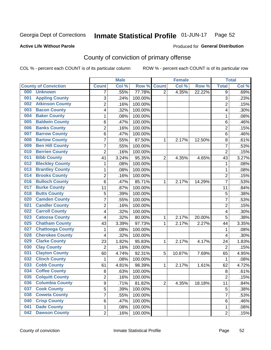#### Inmate Statistical Profile 01-JUN-17 Page 52

### **Active Life Without Parole**

### Produced for General Distribution

# County of conviction of primary offense

COL % - percent each COUNT is of its particular column

|                                |                         | <b>Male</b> |         |                | <b>Female</b> |        |                         | <b>Total</b> |
|--------------------------------|-------------------------|-------------|---------|----------------|---------------|--------|-------------------------|--------------|
| <b>County of Conviction</b>    | <b>Count</b>            | Col %       | Row %   | <b>Count</b>   | Col %         | Row %  | <b>Total</b>            | Col %        |
| 000<br><b>Unknown</b>          | 7                       | .55%        | 77.78%  | $\overline{2}$ | 4.35%         | 22.22% | 9                       | .69%         |
| <b>Appling County</b><br>001   | 3                       | .24%        | 100.00% |                |               |        | 3                       | .23%         |
| <b>Atkinson County</b><br>002  | $\overline{2}$          | .16%        | 100.00% |                |               |        | $\overline{2}$          | .15%         |
| <b>Bacon County</b><br>003     | 4                       | .32%        | 100.00% |                |               |        | 4                       | .30%         |
| <b>Baker County</b><br>004     | 1                       | .08%        | 100.00% |                |               |        | 1                       | .08%         |
| <b>Baldwin County</b><br>005   | 6                       | .47%        | 100.00% |                |               |        | 6                       | .46%         |
| <b>Banks County</b><br>006     | $\overline{2}$          | .16%        | 100.00% |                |               |        | $\overline{2}$          | .15%         |
| <b>Barrow County</b><br>007    | 6                       | .47%        | 100.00% |                |               |        | 6                       | .46%         |
| <b>Bartow County</b><br>008    | $\overline{7}$          | .55%        | 87.50%  | 1              | 2.17%         | 12.50% | 8                       | .61%         |
| <b>Ben Hill County</b><br>009  | $\overline{7}$          | .55%        | 100.00% |                |               |        | $\overline{7}$          | .53%         |
| <b>Berrien County</b><br>010   | $\overline{c}$          | .16%        | 100.00% |                |               |        | $\overline{2}$          | .15%         |
| <b>Bibb County</b><br>011      | 41                      | 3.24%       | 95.35%  | $\overline{2}$ | 4.35%         | 4.65%  | 43                      | 3.27%        |
| <b>Bleckley County</b><br>012  | 1                       | .08%        | 100.00% |                |               |        | 1                       | .08%         |
| <b>Brantley County</b><br>013  | 1                       | .08%        | 100.00% |                |               |        | 1                       | .08%         |
| <b>Brooks County</b><br>014    | $\overline{2}$          | .16%        | 100.00% |                |               |        | $\overline{2}$          | .15%         |
| <b>Bulloch County</b><br>016   | 6                       | .47%        | 85.71%  | 1              | 2.17%         | 14.29% | $\overline{7}$          | .53%         |
| <b>Burke County</b><br>017     | 11                      | .87%        | 100.00% |                |               |        | 11                      | .84%         |
| <b>Butts County</b><br>018     | 5                       | .39%        | 100.00% |                |               |        | 5                       | .38%         |
| <b>Camden County</b><br>020    | $\overline{7}$          | .55%        | 100.00% |                |               |        | $\overline{7}$          | .53%         |
| <b>Candler County</b><br>021   | $\overline{2}$          | .16%        | 100.00% |                |               |        | $\overline{2}$          | .15%         |
| <b>Carroll County</b><br>022   | 4                       | .32%        | 100.00% |                |               |        | 4                       | .30%         |
| <b>Catoosa County</b><br>023   | $\overline{\mathbf{4}}$ | .32%        | 80.00%  | 1              | 2.17%         | 20.00% | 5                       | .38%         |
| <b>Chatham County</b><br>025   | 43                      | 3.39%       | 97.73%  | 1              | 2.17%         | 2.27%  | 44                      | 3.35%        |
| <b>Chattooga County</b><br>027 | 1                       | .08%        | 100.00% |                |               |        | 1                       | .08%         |
| <b>Cherokee County</b><br>028  | $\overline{\mathbf{4}}$ | .32%        | 100.00% |                |               |        | 4                       | .30%         |
| <b>Clarke County</b><br>029    | 23                      | 1.82%       | 95.83%  | 1              | 2.17%         | 4.17%  | 24                      | 1.83%        |
| <b>Clay County</b><br>030      | $\overline{2}$          | .16%        | 100.00% |                |               |        | $\overline{2}$          | .15%         |
| <b>Clayton County</b><br>031   | 60                      | 4.74%       | 92.31%  | 5              | 10.87%        | 7.69%  | 65                      | 4.95%        |
| <b>Clinch County</b><br>032    | 1                       | .08%        | 100.00% |                |               |        | 1                       | .08%         |
| <b>Cobb County</b><br>033      | 61                      | 4.81%       | 98.39%  | 1              | 2.17%         | 1.61%  | 62                      | 4.72%        |
| <b>Coffee County</b><br>034    | 8                       | .63%        | 100.00% |                |               |        | 8                       | .61%         |
| 035<br><b>Colquitt County</b>  | 2                       | .16%        | 100.00% |                |               |        | $\overline{\mathbf{c}}$ | .15%         |
| <b>Columbia County</b><br>036  | 9                       | .71%        | 81.82%  | $\overline{2}$ | 4.35%         | 18.18% | 11                      | .84%         |
| 037<br><b>Cook County</b>      | 5                       | .39%        | 100.00% |                |               |        | 5                       | .38%         |
| <b>Coweta County</b><br>038    | 7                       | .55%        | 100.00% |                |               |        | $\overline{7}$          | .53%         |
| <b>Crisp County</b><br>040     | 6                       | .47%        | 100.00% |                |               |        | 6                       | .46%         |
| <b>Dade County</b><br>041      | 1                       | .08%        | 100.00% |                |               |        | 1                       | .08%         |
| <b>Dawson County</b><br>042    | $\overline{2}$          | .16%        | 100.00% |                |               |        | $\overline{2}$          | .15%         |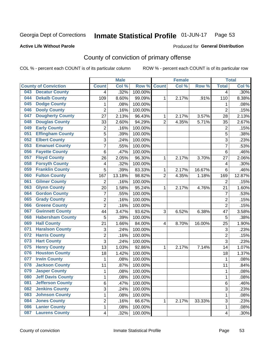#### Inmate Statistical Profile 01-JUN-17 Page 53

### **Active Life Without Parole**

# **Produced for General Distribution**

# County of conviction of primary offense

COL % - percent each COUNT is of its particular column

|                                 |                           | <b>Male</b> |         |                | <b>Female</b> |        |                           | <b>Total</b> |
|---------------------------------|---------------------------|-------------|---------|----------------|---------------|--------|---------------------------|--------------|
| <b>County of Conviction</b>     | <b>Count</b>              | Col %       | Row %   | <b>Count</b>   | Col %         | Row %  | <b>Total</b>              | Col %        |
| <b>Decatur County</b><br>043    | 4                         | .32%        | 100.00% |                |               |        | 4                         | .30%         |
| <b>Dekalb County</b><br>044     | 109                       | 8.60%       | 99.09%  | 1              | 2.17%         | .91%   | 110                       | 8.38%        |
| <b>Dodge County</b><br>045      | 1                         | .08%        | 100.00% |                |               |        | 1                         | .08%         |
| <b>Dooly County</b><br>046      | $\overline{2}$            | .16%        | 100.00% |                |               |        | $\overline{2}$            | .15%         |
| <b>Dougherty County</b><br>047  | 27                        | 2.13%       | 96.43%  | 1              | 2.17%         | 3.57%  | 28                        | 2.13%        |
| <b>Douglas County</b><br>048    | 33                        | 2.60%       | 94.29%  | $\overline{2}$ | 4.35%         | 5.71%  | 35                        | 2.67%        |
| <b>Early County</b><br>049      | $\overline{c}$            | .16%        | 100.00% |                |               |        | $\overline{2}$            | .15%         |
| <b>Effingham County</b><br>051  | 5                         | .39%        | 100.00% |                |               |        | $\overline{5}$            | .38%         |
| <b>Elbert County</b><br>052     | 3                         | .24%        | 100.00% |                |               |        | 3                         | .23%         |
| <b>Emanuel County</b><br>053    | $\overline{7}$            | .55%        | 100.00% |                |               |        | $\overline{7}$            | .53%         |
| <b>Fayette County</b><br>056    | $\,6$                     | .47%        | 100.00% |                |               |        | 6                         | .46%         |
| <b>Floyd County</b><br>057      | 26                        | 2.05%       | 96.30%  | 1              | 2.17%         | 3.70%  | 27                        | 2.06%        |
| <b>Forsyth County</b><br>058    | 4                         | .32%        | 100.00% |                |               |        | 4                         | .30%         |
| <b>Franklin County</b><br>059   | 5                         | .39%        | 83.33%  | $\mathbf{1}$   | 2.17%         | 16.67% | 6                         | .46%         |
| <b>Fulton County</b><br>060     | 167                       | 13.18%      | 98.82%  | $\overline{2}$ | 4.35%         | 1.18%  | 169                       | 12.87%       |
| <b>Gilmer County</b><br>061     | $\overline{2}$            | .16%        | 100.00% |                |               |        | $\overline{2}$            | .15%         |
| <b>Glynn County</b><br>063      | 20                        | 1.58%       | 95.24%  | 1              | 2.17%         | 4.76%  | 21                        | 1.60%        |
| <b>Gordon County</b><br>064     | $\overline{7}$            | .55%        | 100.00% |                |               |        | 7                         | .53%         |
| <b>Grady County</b><br>065      | $\overline{c}$            | .16%        | 100.00% |                |               |        | $\overline{2}$            | .15%         |
| <b>Greene County</b><br>066     | $\overline{2}$            | .16%        | 100.00% |                |               |        | $\overline{2}$            | .15%         |
| <b>Gwinnett County</b><br>067   | 44                        | 3.47%       | 93.62%  | 3              | 6.52%         | 6.38%  | 47                        | 3.58%        |
| <b>Habersham County</b><br>068  | 5                         | .39%        | 100.00% |                |               |        | 5                         | .38%         |
| <b>Hall County</b><br>069       | 21                        | 1.66%       | 84.00%  | 4              | 8.70%         | 16.00% | 25                        | 1.90%        |
| <b>Haralson County</b><br>071   | $\ensuremath{\mathsf{3}}$ | .24%        | 100.00% |                |               |        | $\ensuremath{\mathsf{3}}$ | .23%         |
| <b>Harris County</b><br>072     | $\overline{c}$            | .16%        | 100.00% |                |               |        | $\overline{2}$            | .15%         |
| <b>Hart County</b><br>073       | 3                         | .24%        | 100.00% |                |               |        | 3                         | .23%         |
| <b>Henry County</b><br>075      | 13                        | 1.03%       | 92.86%  | 1              | 2.17%         | 7.14%  | 14                        | 1.07%        |
| <b>Houston County</b><br>076    | 18                        | 1.42%       | 100.00% |                |               |        | 18                        | 1.37%        |
| <b>Irwin County</b><br>077      | $\mathbf{1}$              | .08%        | 100.00% |                |               |        | 1                         | .08%         |
| <b>Jackson County</b><br>078    | 11                        | .87%        | 100.00% |                |               |        | 11                        | .84%         |
| <b>Jasper County</b><br>079     | 1                         | .08%        | 100.00% |                |               |        | 1                         | .08%         |
| <b>Jeff Davis County</b><br>080 | 1                         | .08%        | 100.00% |                |               |        | 1                         | .08%         |
| <b>Jefferson County</b><br>081  | 6                         | .47%        | 100.00% |                |               |        | 6                         | .46%         |
| <b>Jenkins County</b><br>082    | 3                         | .24%        | 100.00% |                |               |        | 3                         | .23%         |
| <b>Johnson County</b><br>083    | $\mathbf{1}$              | .08%        | 100.00% |                |               |        | 1                         | .08%         |
| <b>Jones County</b><br>084      | $\overline{c}$            | .16%        | 66.67%  | 1              | 2.17%         | 33.33% | 3                         | .23%         |
| <b>Lanier County</b><br>086     | 1                         | .08%        | 100.00% |                |               |        | 1                         | .08%         |
| <b>Laurens County</b><br>087    | $\overline{\mathbf{4}}$   | .32%        | 100.00% |                |               |        | 4                         | .30%         |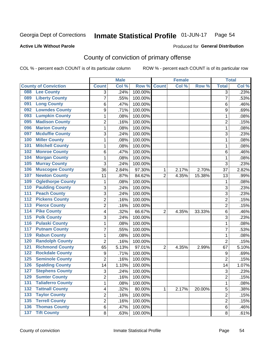#### Inmate Statistical Profile 01-JUN-17 Page 54

### **Active Life Without Parole**

### Produced for General Distribution

# County of conviction of primary offense

COL % - percent each COUNT is of its particular column

|                                            |                | <b>Male</b> |         |                | <b>Female</b> |        | <b>Total</b>   |       |
|--------------------------------------------|----------------|-------------|---------|----------------|---------------|--------|----------------|-------|
| <b>County of Conviction</b>                | <b>Count</b>   | Col %       | Row %   | <b>Count</b>   | Col %         | Row %  | <b>Total</b>   | Col % |
| <b>Lee County</b><br>088                   | 3              | .24%        | 100.00% |                |               |        | $\overline{3}$ | .23%  |
| <b>Liberty County</b><br>089               | 7              | .55%        | 100.00% |                |               |        | $\overline{7}$ | .53%  |
| <b>Long County</b><br>091                  | 6              | .47%        | 100.00% |                |               |        | 6              | .46%  |
| <b>Lowndes County</b><br>092               | 9              | .71%        | 100.00% |                |               |        | 9              | .69%  |
| <b>Lumpkin County</b><br>093               | 1              | .08%        | 100.00% |                |               |        | $\mathbf{1}$   | .08%  |
| <b>Madison County</b><br>095               | $\overline{2}$ | .16%        | 100.00% |                |               |        | $\overline{2}$ | .15%  |
| <b>Marion County</b><br>096                | 1              | .08%        | 100.00% |                |               |        | $\mathbf{1}$   | .08%  |
| <b>Mcduffie County</b><br>097              | 3              | .24%        | 100.00% |                |               |        | 3              | .23%  |
| <b>Miller County</b><br>100                | 1              | .08%        | 100.00% |                |               |        | $\mathbf{1}$   | .08%  |
| <b>Mitchell County</b><br>101              | 1              | .08%        | 100.00% |                |               |        | $\mathbf{1}$   | .08%  |
| <b>Monroe County</b><br>102                | 6              | .47%        | 100.00% |                |               |        | 6              | .46%  |
| <b>Morgan County</b><br>104                | 1              | .08%        | 100.00% |                |               |        | $\mathbf{1}$   | .08%  |
| <b>Murray County</b><br>105                | 3              | .24%        | 100.00% |                |               |        | 3              | .23%  |
| <b>Muscogee County</b><br>106              | 36             | 2.84%       | 97.30%  | 1              | 2.17%         | 2.70%  | 37             | 2.82% |
| <b>Newton County</b><br>107                | 11             | .87%        | 84.62%  | $\overline{2}$ | 4.35%         | 15.38% | 13             | .99%  |
| <b>Oglethorpe County</b><br>109            | 1              | .08%        | 100.00% |                |               |        | 1              | .08%  |
| <b>Paulding County</b><br>110              | 3              | .24%        | 100.00% |                |               |        | 3              | .23%  |
| <b>Peach County</b><br>111                 | 3              | .24%        | 100.00% |                |               |        | 3              | .23%  |
| <b>Pickens County</b><br>$\overline{112}$  | 2              | .16%        | 100.00% |                |               |        | $\overline{2}$ | .15%  |
| <b>Pierce County</b><br>113                | $\overline{2}$ | .16%        | 100.00% |                |               |        | $\overline{2}$ | .15%  |
| <b>Pike County</b><br>114                  | 4              | .32%        | 66.67%  | $\overline{2}$ | 4.35%         | 33.33% | 6              | .46%  |
| 115<br><b>Polk County</b>                  | 3              | .24%        | 100.00% |                |               |        | 3              | .23%  |
| <b>Pulaski County</b><br>116               | 1              | .08%        | 100.00% |                |               |        | $\mathbf{1}$   | .08%  |
| <b>Putnam County</b><br>117                | 7              | .55%        | 100.00% |                |               |        | $\overline{7}$ | .53%  |
| <b>Rabun County</b><br>119                 | 1              | .08%        | 100.00% |                |               |        | 1              | .08%  |
| <b>Randolph County</b><br>120              | $\overline{2}$ | .16%        | 100.00% |                |               |        | $\overline{2}$ | .15%  |
| <b>Richmond County</b><br>121              | 65             | 5.13%       | 97.01%  | 2              | 4.35%         | 2.99%  | 67             | 5.10% |
| <b>Rockdale County</b><br>122              | 9              | .71%        | 100.00% |                |               |        | 9              | .69%  |
| <b>Seminole County</b><br>125              | 2              | .16%        | 100.00% |                |               |        | $\overline{2}$ | .15%  |
| <b>Spalding County</b><br>126              | 14             | 1.10%       | 100.00% |                |               |        | 14             | 1.07% |
| <b>Stephens County</b><br>127              | 3              | .24%        | 100.00% |                |               |        | 3              | .23%  |
| <b>Sumter County</b><br>129                | 2              | .16%        | 100.00% |                |               |        | 2              | .15%  |
| <b>Taliaferro County</b><br>131            | 1              | .08%        | 100.00% |                |               |        | $\mathbf{1}$   | .08%  |
| <b>Tattnall County</b><br>$\overline{132}$ | 4              | .32%        | 80.00%  | 1              | 2.17%         | 20.00% | 5              | .38%  |
| <b>Taylor County</b><br>133                | 2              | .16%        | 100.00% |                |               |        | 2              | .15%  |
| <b>Terrell County</b><br>135               | $\overline{2}$ | .16%        | 100.00% |                |               |        | $\overline{2}$ | .15%  |
| <b>Thomas County</b><br>136                | 6              | .47%        | 100.00% |                |               |        | 6              | .46%  |
| 137 Tift County                            | 8              | .63%        | 100.00% |                |               |        | 8              | .61%  |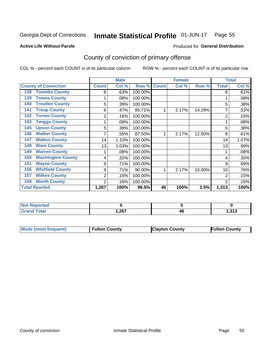#### Inmate Statistical Profile 01-JUN-17 Page 55

**Active Life Without Parole** 

Produced for General Distribution

# County of conviction of primary offense

COL % - percent each COUNT is of its particular column

|                                 |              | <b>Male</b> |         |              | <b>Female</b> |        | <b>Total</b>   |       |
|---------------------------------|--------------|-------------|---------|--------------|---------------|--------|----------------|-------|
| <b>County of Conviction</b>     | <b>Count</b> | Col %       | Row %   | <b>Count</b> | Col %         | Row %  | <b>Total</b>   | Col % |
| <b>Toombs County</b><br>138     | 8            | .63%        | 100.00% |              |               |        | 8              | .61%  |
| <b>Towns County</b><br>139      |              | .08%        | 100.00% |              |               |        |                | .08%  |
| <b>Treutlen County</b><br>140   | 5            | .39%        | 100.00% |              |               |        | 5              | .38%  |
| <b>Troup County</b><br>141      | 6            | .47%        | 85.71%  |              | 2.17%         | 14.29% |                | .53%  |
| <b>Turner County</b><br>142     | 2            | .16%        | 100.00% |              |               |        | 2              | .15%  |
| <b>Twiggs County</b><br>143     |              | .08%        | 100.00% |              |               |        |                | .08%  |
| <b>Upson County</b><br>145      | 5            | .39%        | 100.00% |              |               |        | 5              | .38%  |
| <b>Walker County</b><br>146     |              | .55%        | 87.50%  |              | 2.17%         | 12.50% | 8              | .61%  |
| <b>Walton County</b><br>147     | 14           | 1.10%       | 100.00% |              |               |        | 14             | 1.07% |
| <b>Ware County</b><br>148       | 13           | 1.03%       | 100.00% |              |               |        | 13             | .99%  |
| <b>Warren County</b><br>149     |              | .08%        | 100.00% |              |               |        |                | .08%  |
| <b>Washington County</b><br>150 | 4            | .32%        | 100.00% |              |               |        | 4              | .30%  |
| <b>Wayne County</b><br>151      | 9            | .71%        | 100.00% |              |               |        | 9              | .69%  |
| <b>Whitfield County</b><br>155  | 9            | .71%        | 90.00%  | 4            | 2.17%         | 10.00% | 10             | .76%  |
| <b>Wilkes County</b><br>157     | 2            | .16%        | 100.00% |              |               |        | 2              | .15%  |
| <b>Worth County</b><br>159      | 2            | .16%        | 100.00% |              |               |        | $\overline{2}$ | .15%  |
| <b>Total Rported</b>            | 1,267        | 100%        | 96.5%   | 46           | 100%          | 3.5%   | 1,313          | 100%  |

| <b>Not Reported</b> |        |    |                |
|---------------------|--------|----|----------------|
| Total               | 267, ا | 4L | 242<br><b></b> |

| <b>Mode (most frequent)</b> | <b>Fulton County</b> | <b>Clayton County</b> | <b>Fulton County</b> |
|-----------------------------|----------------------|-----------------------|----------------------|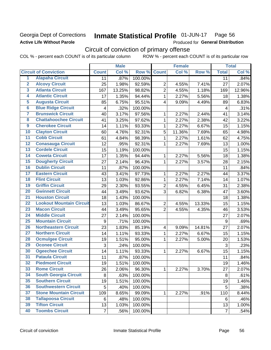# Georgia Dept of Corrections **Active Life Without Parole**

#### Inmate Statistical Profile 01-JUN-17 Page 56

Produced for General Distribution

# Circuit of conviction of primary offense

COL % - percent each COUNT is of its particular column ROW % - percent each COUNT is of its particular row

|                         |                                 |                | <b>Male</b> | <b>Female</b> |                          |        | <b>Total</b> |                |        |
|-------------------------|---------------------------------|----------------|-------------|---------------|--------------------------|--------|--------------|----------------|--------|
|                         | <b>Circuit of Conviction</b>    | <b>Count</b>   | Col %       | Row %         | <b>Count</b>             | Col %  | Row %        | <b>Total</b>   | Col %  |
| 1                       | <b>Alapaha Circuit</b>          | 11             | .87%        | 100.00%       |                          |        |              | 11             | .84%   |
| $\overline{2}$          | <b>Alcovy Circuit</b>           | 25             | 1.98%       | 92.59%        | $\overline{2}$           | 4.55%  | 7.41%        | 27             | 2.07%  |
| $\overline{\mathbf{3}}$ | <b>Atlanta Circuit</b>          | 167            | 13.25%      | 98.82%        | $\overline{2}$           | 4.55%  | 1.18%        | 169            | 12.96% |
| 4                       | <b>Atlantic Circuit</b>         | 17             | 1.35%       | 94.44%        | $\mathbf{1}$             | 2.27%  | 5.56%        | 18             | 1.38%  |
| $\overline{5}$          | <b>Augusta Circuit</b>          | 85             | 6.75%       | 95.51%        | $\overline{4}$           | 9.09%  | 4.49%        | 89             | 6.83%  |
| $\overline{6}$          | <b>Blue Ridge Circuit</b>       | 4              | .32%        | 100.00%       |                          |        |              | 4              | .31%   |
| 7                       | <b>Brunswick Circuit</b>        | 40             | 3.17%       | 97.56%        | 1                        | 2.27%  | 2.44%        | 41             | 3.14%  |
| $\overline{\mathbf{8}}$ | <b>Chattahoochee Circuit</b>    | 41             | 3.25%       | 97.62%        | 1                        | 2.27%  | 2.38%        | 42             | 3.22%  |
| $\overline{9}$          | <b>Cherokee Circuit</b>         | 14             | 1.11%       | 93.33%        | $\mathbf{1}$             | 2.27%  | 6.67%        | 15             | 1.15%  |
| 10                      | <b>Clayton Circuit</b>          | 60             | 4.76%       | 92.31%        | 5                        | 11.36% | 7.69%        | 65             | 4.98%  |
| $\overline{11}$         | <b>Cobb Circuit</b>             | 61             | 4.84%       | 98.39%        | $\mathbf{1}$             | 2.27%  | 1.61%        | 62             | 4.75%  |
| $\overline{12}$         | <b>Conasauga Circuit</b>        | 12             | .95%        | 92.31%        | 1                        | 2.27%  | 7.69%        | 13             | 1.00%  |
| 13                      | <b>Cordele Circuit</b>          | 15             | 1.19%       | 100.00%       |                          |        |              | 15             | 1.15%  |
| $\overline{14}$         | <b>Coweta Circuit</b>           | 17             | 1.35%       | 94.44%        | $\mathbf{1}$             | 2.27%  | 5.56%        | 18             | 1.38%  |
| 15                      | <b>Dougherty Circuit</b>        | 27             | 2.14%       | 96.43%        | $\mathbf 1$              | 2.27%  | 3.57%        | 28             | 2.15%  |
| 16                      | <b>Dublin Circuit</b>           | 11             | .87%        | 100.00%       |                          |        |              | 11             | .84%   |
| 17                      | <b>Eastern Circuit</b>          | 43             | 3.41%       | 97.73%        | 1                        | 2.27%  | 2.27%        | 44             | 3.37%  |
| 18                      | <b>Flint Circuit</b>            | 13             | 1.03%       | 92.86%        | $\mathbf{1}$             | 2.27%  | 7.14%        | 14             | 1.07%  |
| 19                      | <b>Griffin Circuit</b>          | 29             | 2.30%       | 93.55%        | $\overline{2}$           | 4.55%  | 6.45%        | 31             | 2.38%  |
| 20                      | <b>Gwinnett Circuit</b>         | 44             | 3.49%       | 93.62%        | 3                        | 6.82%  | 6.38%        | 47             | 3.60%  |
| $\overline{21}$         | <b>Houston Circuit</b>          | 18             | 1.43%       | 100.00%       |                          |        |              | 18             | 1.38%  |
| $\overline{22}$         | <b>Lookout Mountain Circuit</b> | 13             | 1.03%       | 86.67%        | $\overline{2}$           | 4.55%  | 13.33%       | 15             | 1.15%  |
| 23                      | <b>Macon Circuit</b>            | 44             | 3.49%       | 95.65%        | $\overline{2}$           | 4.55%  | 4.35%        | 46             | 3.53%  |
| $\overline{24}$         | <b>Middle Circuit</b>           | 27             | 2.14%       | 100.00%       |                          |        |              | 27             | 2.07%  |
| 25                      | <b>Mountain Circuit</b>         | 9              | .71%        | 100.00%       |                          |        |              | 9              | .69%   |
| 26                      | <b>Northeastern Circuit</b>     | 23             | 1.83%       | 85.19%        | $\overline{\mathcal{A}}$ | 9.09%  | 14.81%       | 27             | 2.07%  |
| $\overline{27}$         | <b>Northern Circuit</b>         | 14             | 1.11%       | 93.33%        | $\mathbf{1}$             | 2.27%  | 6.67%        | 15             | 1.15%  |
| 28                      | <b>Ocmulgee Circuit</b>         | 19             | 1.51%       | 95.00%        | 1                        | 2.27%  | 5.00%        | 20             | 1.53%  |
| 29                      | <b>Oconee Circuit</b>           | 3              | .24%        | 100.00%       |                          |        |              | 3              | .23%   |
| 30                      | <b>Ogeechee Circuit</b>         | 14             | 1.11%       | 93.33%        | 1                        | 2.27%  | 6.67%        | 15             | 1.15%  |
| $\overline{31}$         | <b>Pataula Circuit</b>          | 11             | .87%        | 100.00%       |                          |        |              | 11             | .84%   |
| 32                      | <b>Piedmont Circuit</b>         | 19             | 1.51%       | 100.00%       |                          |        |              | 19             | 1.46%  |
| 33                      | <b>Rome Circuit</b>             | 26             | 2.06%       | 96.30%        | $\mathbf{1}$             | 2.27%  | 3.70%        | 27             | 2.07%  |
| 34                      | <b>South Georgia Circuit</b>    | 8              | .63%        | 100.00%       |                          |        |              | 8              | .61%   |
| 35                      | <b>Southern Circuit</b>         | 19             | 1.51%       | 100.00%       |                          |        |              | 19             | 1.46%  |
| 36                      | <b>Southwestern Circuit</b>     | 5              | .40%        | 100.00%       |                          |        |              | 5              | .38%   |
| 37                      | <b>Stone Mountain Circuit</b>   | 109            | 8.65%       | 99.09%        | 1                        | 2.27%  | .91%         | 110            | 8.44%  |
| 38                      | <b>Tallapoosa Circuit</b>       | 6              | .48%        | 100.00%       |                          |        |              | 6              | .46%   |
| 39                      | <b>Tifton Circuit</b>           | 13             | 1.03%       | 100.00%       |                          |        |              | 13             | 1.00%  |
| 40                      | <b>Toombs Circuit</b>           | $\overline{7}$ | .56%        | 100.00%       |                          |        |              | $\overline{7}$ | .54%   |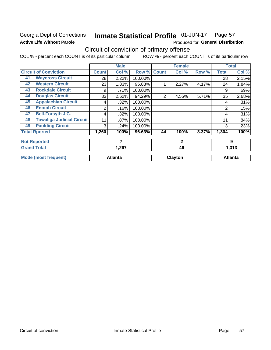# Georgia Dept of Corrections **Active Life Without Parole**

### Inmate Statistical Profile 01-JUN-17 Page 57

Produced for General Distribution

# Circuit of conviction of primary offense

COL % - percent each COUNT is of its particular column ROW % - percent each COUNT is of its particular row

|    |                                  |       | <b>Male</b>    |         |              | <b>Female</b> |       |                | <b>Total</b>   |
|----|----------------------------------|-------|----------------|---------|--------------|---------------|-------|----------------|----------------|
|    | <b>Circuit of Conviction</b>     | Count | Col %          | Row %   | <b>Count</b> | Col %         | Row % | <b>Total</b>   | Col %          |
| 41 | <b>Waycross Circuit</b>          | 28    | 2.22%          | 100.00% |              |               |       | 28             | 2.15%          |
| 42 | <b>Western Circuit</b>           | 23    | 1.83%          | 95.83%  |              | 2.27%         | 4.17% | 24             | 1.84%          |
| 43 | <b>Rockdale Circuit</b>          | 9     | .71%           | 100.00% |              |               |       | 9              | .69%           |
| 44 | <b>Douglas Circuit</b>           | 33    | 2.62%          | 94.29%  | 2            | 4.55%         | 5.71% | 35             | 2.68%          |
| 45 | <b>Appalachian Circuit</b>       | 4     | .32%           | 100.00% |              |               |       | 4              | .31%           |
| 46 | <b>Enotah Circuit</b>            | 2     | .16%           | 100.00% |              |               |       | $\overline{2}$ | .15%           |
| 47 | <b>Bell-Forsyth J.C.</b>         | 4     | .32%           | 100.00% |              |               |       | 4              | .31%           |
| 48 | <b>Towaliga Judicial Circuit</b> | 11    | .87%           | 100.00% |              |               |       | 11             | .84%           |
| 49 | <b>Paulding Circuit</b>          | 3     | .24%           | 100.00% |              |               |       | 3              | .23%           |
|    | <b>Total Rported</b>             | 1,260 | 100%           | 96.63%  | 44           | 100%          | 3.37% | 1,304          | 100%           |
|    | <b>Not Reported</b>              |       | 7              |         |              | $\mathbf{2}$  |       |                | 9              |
|    | <b>Grand Total</b>               |       | 1,267          |         |              | 46            |       | 1,313          |                |
|    | <b>Mode (most frequent)</b>      |       | <b>Atlanta</b> |         |              | Clayton       |       |                | <b>Atlanta</b> |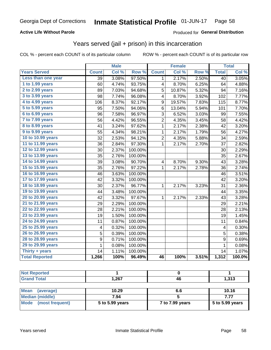# **Active Life Without Parole**

# Produced for General Distribution

# Years served (jail + prison) in this incarceration

COL % - percent each COUNT is of its particular column

|                        |                 | <b>Male</b> |         |                         | <b>Female</b> |       |                  | <b>Total</b> |
|------------------------|-----------------|-------------|---------|-------------------------|---------------|-------|------------------|--------------|
| <b>Years Served</b>    | <b>Count</b>    | Col %       | Row %   | <b>Count</b>            | Col %         | Row % | <b>Total</b>     | Col%         |
| Less than one year     | $\overline{39}$ | 3.08%       | 97.50%  | 1                       | 2.17%         | 2.50% | $\overline{40}$  | 3.05%        |
| 1 to 1.99 years        | 60              | 4.74%       | 93.75%  | 4                       | 8.70%         | 6.25% | 64               | 4.88%        |
| 2 to 2.99 years        | 89              | 7.03%       | 94.68%  | 5                       | 10.87%        | 5.32% | 94               | 7.16%        |
| 3 to 3.99 years        | 98              | 7.74%       | 96.08%  | 4                       | 8.70%         | 3.92% | 102              | 7.77%        |
| 4 to 4.99 years        | 106             | 8.37%       | 92.17%  | 9                       | 19.57%        | 7.83% | 115              | 8.77%        |
| 5 to 5.99 years        | 95              | 7.50%       | 94.06%  | 6                       | 13.04%        | 5.94% | 101              | 7.70%        |
| 6 to 6.99 years        | 96              | 7.58%       | 96.97%  | 3                       | 6.52%         | 3.03% | 99               | 7.55%        |
| 7 to 7.99 years        | 56              | 4.42%       | 96.55%  | 2                       | 4.35%         | 3.45% | 58               | 4.42%        |
| <b>8 to 8.99 years</b> | 41              | 3.24%       | 97.62%  | 1                       | 2.17%         | 2.38% | 42               | 3.20%        |
| 9 to 9.99 years        | 55              | 4.34%       | 98.21%  | 1                       | 2.17%         | 1.79% | 56               | 4.27%        |
| 10 to 10.99 years      | 32              | 2.53%       | 94.12%  | 2                       | 4.35%         | 5.88% | 34               | 2.59%        |
| 11 to 11.99 years      | 36              | 2.84%       | 97.30%  | $\mathbf 1$             | 2.17%         | 2.70% | 37               | 2.82%        |
| 12 to 12.99 years      | 30              | 2.37%       | 100.00% |                         |               |       | 30               | 2.29%        |
| 13 to 13.99 years      | 35              | 2.76%       | 100.00% |                         |               |       | 35               | 2.67%        |
| 14 to 14.99 years      | 39              | 3.08%       | 90.70%  | $\overline{\mathbf{4}}$ | 8.70%         | 9.30% | 43               | 3.28%        |
| 15 to 15.99 years      | 35              | 2.76%       | 97.22%  | 1                       | 2.17%         | 2.78% | 36               | 2.74%        |
| 16 to 16.99 years      | 46              | 3.63%       | 100.00% |                         |               |       | 46               | 3.51%        |
| 17 to 17.99 years      | 42              | 3.32%       | 100.00% |                         |               |       | 42               | 3.20%        |
| 18 to 18.99 years      | 30              | 2.37%       | 96.77%  | 1                       | 2.17%         | 3.23% | 31               | 2.36%        |
| 19 to 19.99 years      | 44              | 3.48%       | 100.00% |                         |               |       | 44               | 3.35%        |
| 20 to 20.99 years      | 42              | 3.32%       | 97.67%  | 1                       | 2.17%         | 2.33% | 43               | 3.28%        |
| 21 to 21.99 years      | 29              | 2.29%       | 100.00% |                         |               |       | 29               | 2.21%        |
| 22 to 22.99 years      | 28              | 2.21%       | 100.00% |                         |               |       | 28               | 2.13%        |
| 23 to 23.99 years      | 19              | 1.50%       | 100.00% |                         |               |       | 19               | 1.45%        |
| 24 to 24.99 years      | 11              | 0.87%       | 100.00% |                         |               |       | 11               | 0.84%        |
| 25 to 25.99 years      | 4               | 0.32%       | 100.00% |                         |               |       | 4                | 0.30%        |
| 26 to 26.99 years      | 5               | 0.39%       | 100.00% |                         |               |       | 5                | 0.38%        |
| 28 to 28.99 years      | 9               | 0.71%       | 100.00% |                         |               |       | $\boldsymbol{9}$ | 0.69%        |
| 29 to 29.99 years      | $\mathbf 1$     | 0.08%       | 100.00% |                         |               |       | $\mathbf{1}$     | 0.08%        |
| Thirty + years         | 14              | 1.11%       | 100.00% |                         |               |       | 14               | 1.07%        |
| <b>Total Reported</b>  | 1,266           | 100%        | 96.49%  | 46                      | 100%          | 3.51% | 1,312            | 100.0%       |

| <b>Not Reported</b>     |                 |                 |                 |
|-------------------------|-----------------|-----------------|-----------------|
| <b>Grand Total</b>      | 1,267           | 46              | 1,313           |
|                         |                 |                 |                 |
| Mean<br>(average)       | 10.29           | 6.6             | 10.16           |
| <b>Median (middle)</b>  | 7.94            |                 | 7.77            |
| Mode<br>(most frequent) | 5 to 5.99 years | 7 to 7.99 years | 5 to 5.99 years |
|                         |                 |                 |                 |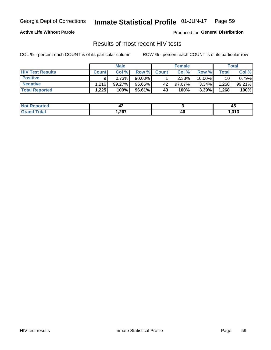#### Inmate Statistical Profile 01-JUN-17 Page 59

# **Active Life Without Parole**

Produced for General Distribution

# Results of most recent HIV tests

COL % - percent each COUNT is of its particular column

|                         | <b>Male</b>       |           |        | <b>Female</b> |          |          | Total |        |
|-------------------------|-------------------|-----------|--------|---------------|----------|----------|-------|--------|
| <b>HIV Test Results</b> | <b>Count</b>      | Col%      | Row %I | <b>Count</b>  | Col %    | Row %    | Total | Col %  |
| <b>Positive</b>         | a                 | 0.73%     | 90.00% |               | $2.33\%$ | 10.00%   | 10    | 0.79%  |
| <b>Negative</b>         | .216              | $99.27\%$ | 96.66% | 42            | 97.67%   | $3.34\%$ | .258  | 99.21% |
| <b>Total Reported</b>   | $.225$ $^{\circ}$ | 100%      | 96.61% | 43            | 100%     | 3.39%    | 1,268 | 100%   |

| <b>Not Reported</b>             | 44     |    | ,,,<br>᠇        |
|---------------------------------|--------|----|-----------------|
| <b>Total</b><br>G <sub>rx</sub> | 267, ا | 46 | 242<br>د ۱ د, ۱ |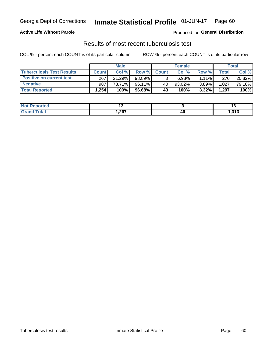# Georgia Dept of Corrections **Inmate Statistical Profile** 01-JUN-17 Page 60

# **Active Life Without Parole**

Produced for **General Distribution**

# Results of most recent tuberculosis test

COL % - percent each COUNT is of its particular column ROW % - percent each COUNT is of its particular row

|                                  | <b>Male</b>  |        |           | <b>Female</b> |        |          | Total              |        |
|----------------------------------|--------------|--------|-----------|---------------|--------|----------|--------------------|--------|
| <b>Tuberculosis Test Results</b> | <b>Count</b> | Col%   | Row %I    | <b>Count</b>  | Col %  | Row %    | Total <sub>1</sub> | Col %  |
| <b>Positive on current test</b>  | 267          | 21.29% | 98.89%    |               | 6.98%  | $1.11\%$ | 270                | 20.82% |
| <b>Negative</b>                  | 987          | 78.71% | $96.11\%$ | 40            | 93.02% | $3.89\%$ | 1,027              | 79.18% |
| <b>Total Reported</b>            | .254         | 100%   | 96.68%    | 43            | 100%   | 3.32%    | 1,297              | 100%   |

| <b>Not Reported</b> |      |    |                |
|---------------------|------|----|----------------|
| <b>Total</b>        | ,267 | 46 | 242<br>د ∟ د.⊦ |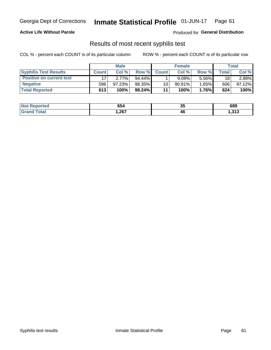# Georgia Dept of Corrections **Inmate Statistical Profile** 01-JUN-17 Page 61

# **Active Life Without Parole**

Produced for **General Distribution**

# Results of most recent syphilis test

COL % - percent each COUNT is of its particular column ROW % - percent each COUNT is of its particular row

|                                 |              | <b>Male</b> |           |              | <b>Female</b> |       |              | Total  |
|---------------------------------|--------------|-------------|-----------|--------------|---------------|-------|--------------|--------|
| <b>Syphilis Test Results</b>    | <b>Count</b> | Col%        | Row %     | <b>Count</b> | Col %         | Row % | <b>Total</b> | Col %  |
| <b>Positive on current test</b> |              | 2.77%       | $94.44\%$ |              | 9.09%         | 5.56% | 18           | 2.88%  |
| <b>Negative</b>                 | 596          | 97.23%      | 98.35%    | 10           | $90.91\%$     | 1.65% | 606          | 97.12% |
| <b>Total Reported</b>           | 613          | 100%        | 98.24%    | 11           | 100%          | 1.76% | 624          | 100%   |

| <b>Not Reported</b> | 654    | つん<br>◡ | 689   |
|---------------------|--------|---------|-------|
| <b>Grand Total</b>  | 267, ا | 46      | 1,313 |